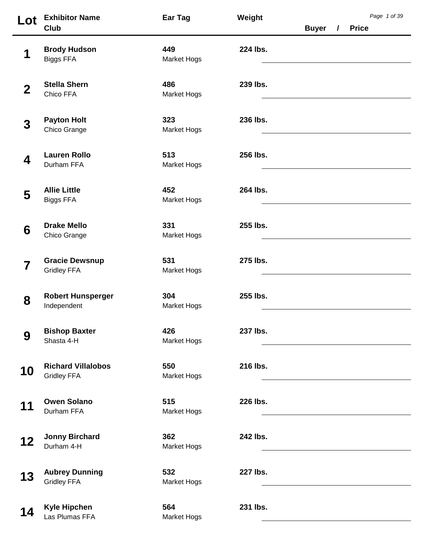| Lot         | <b>Exhibitor Name</b><br>Club                   | Ear Tag            | Weight   | <b>Buyer</b> | $\prime$ | <b>Price</b> | Page 1 of 39 |
|-------------|-------------------------------------------------|--------------------|----------|--------------|----------|--------------|--------------|
| 1           | <b>Brody Hudson</b><br><b>Biggs FFA</b>         | 449<br>Market Hogs | 224 lbs. |              |          |              |              |
| $\mathbf 2$ | <b>Stella Shern</b><br>Chico FFA                | 486<br>Market Hogs | 239 lbs. |              |          |              |              |
| 3           | <b>Payton Holt</b><br>Chico Grange              | 323<br>Market Hogs | 236 lbs. |              |          |              |              |
| 4           | <b>Lauren Rollo</b><br>Durham FFA               | 513<br>Market Hogs | 256 lbs. |              |          |              |              |
| 5           | <b>Allie Little</b><br><b>Biggs FFA</b>         | 452<br>Market Hogs | 264 lbs. |              |          |              |              |
| 6           | <b>Drake Mello</b><br>Chico Grange              | 331<br>Market Hogs | 255 lbs. |              |          |              |              |
| 7           | <b>Gracie Dewsnup</b><br><b>Gridley FFA</b>     | 531<br>Market Hogs | 275 lbs. |              |          |              |              |
| 8           | <b>Robert Hunsperger</b><br>Independent         | 304<br>Market Hogs | 255 lbs. |              |          |              |              |
| 9           | <b>Bishop Baxter</b><br>Shasta 4-H              | 426<br>Market Hogs | 237 lbs. |              |          |              |              |
| 10          | <b>Richard Villalobos</b><br><b>Gridley FFA</b> | 550<br>Market Hogs | 216 lbs. |              |          |              |              |
| 11          | <b>Owen Solano</b><br>Durham FFA                | 515<br>Market Hogs | 226 lbs. |              |          |              |              |
| 12          | <b>Jonny Birchard</b><br>Durham 4-H             | 362<br>Market Hogs | 242 lbs. |              |          |              |              |
| 13          | <b>Aubrey Dunning</b><br><b>Gridley FFA</b>     | 532<br>Market Hogs | 227 lbs. |              |          |              |              |
| 14          | <b>Kyle Hipchen</b><br>Las Plumas FFA           | 564<br>Market Hogs | 231 lbs. |              |          |              |              |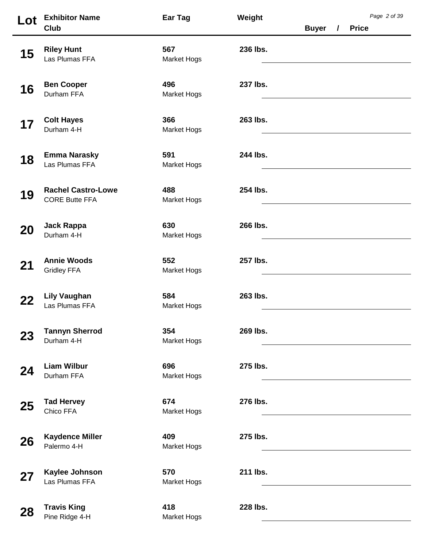| Lot | <b>Exhibitor Name</b><br>Club                      | Ear Tag                   | Weight   | <b>Buyer</b> | $\prime$ | <b>Price</b> | Page 2 of 39 |
|-----|----------------------------------------------------|---------------------------|----------|--------------|----------|--------------|--------------|
| 15  | <b>Riley Hunt</b><br>Las Plumas FFA                | 567<br><b>Market Hogs</b> | 236 lbs. |              |          |              |              |
| 16  | <b>Ben Cooper</b><br>Durham FFA                    | 496<br><b>Market Hogs</b> | 237 lbs. |              |          |              |              |
| 17  | <b>Colt Hayes</b><br>Durham 4-H                    | 366<br><b>Market Hogs</b> | 263 lbs. |              |          |              |              |
| 18  | <b>Emma Narasky</b><br>Las Plumas FFA              | 591<br><b>Market Hogs</b> | 244 lbs. |              |          |              |              |
| 19  | <b>Rachel Castro-Lowe</b><br><b>CORE Butte FFA</b> | 488<br><b>Market Hogs</b> | 254 lbs. |              |          |              |              |
| 20  | <b>Jack Rappa</b><br>Durham 4-H                    | 630<br><b>Market Hogs</b> | 266 lbs. |              |          |              |              |
| 21  | <b>Annie Woods</b><br><b>Gridley FFA</b>           | 552<br><b>Market Hogs</b> | 257 lbs. |              |          |              |              |
| 22  | <b>Lily Vaughan</b><br>Las Plumas FFA              | 584<br><b>Market Hogs</b> | 263 lbs. |              |          |              |              |
| 23  | <b>Tannyn Sherrod</b><br>Durham 4-H                | 354<br><b>Market Hogs</b> | 269 lbs. |              |          |              |              |
| 24  | <b>Liam Wilbur</b><br>Durham FFA                   | 696<br><b>Market Hogs</b> | 275 lbs. |              |          |              |              |
| 25  | <b>Tad Hervey</b><br>Chico FFA                     | 674<br><b>Market Hogs</b> | 276 lbs. |              |          |              |              |
| 26  | <b>Kaydence Miller</b><br>Palermo 4-H              | 409<br><b>Market Hogs</b> | 275 lbs. |              |          |              |              |
| 27  | Kaylee Johnson<br>Las Plumas FFA                   | 570<br><b>Market Hogs</b> | 211 lbs. |              |          |              |              |
| 28  | <b>Travis King</b><br>Pine Ridge 4-H               | 418<br><b>Market Hogs</b> | 228 lbs. |              |          |              |              |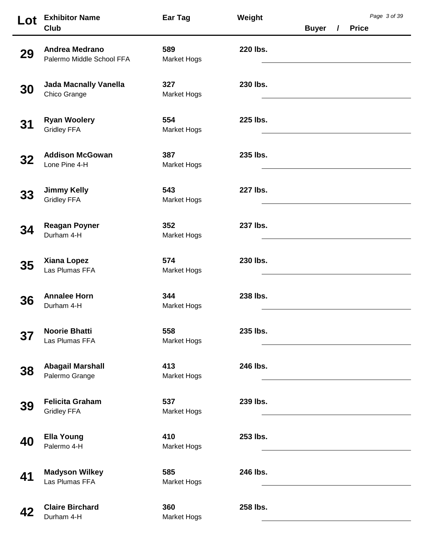| Lot | <b>Exhibitor Name</b><br>Club                      | Ear Tag                   | Weight   | <b>Buyer</b> | $\prime$ | <b>Price</b> | Page 3 of 39 |
|-----|----------------------------------------------------|---------------------------|----------|--------------|----------|--------------|--------------|
| 29  | <b>Andrea Medrano</b><br>Palermo Middle School FFA | 589<br><b>Market Hogs</b> | 220 lbs. |              |          |              |              |
| 30  | <b>Jada Macnally Vanella</b><br>Chico Grange       | 327<br><b>Market Hogs</b> | 230 lbs. |              |          |              |              |
| 31  | <b>Ryan Woolery</b><br><b>Gridley FFA</b>          | 554<br><b>Market Hogs</b> | 225 lbs. |              |          |              |              |
| 32  | <b>Addison McGowan</b><br>Lone Pine 4-H            | 387<br><b>Market Hogs</b> | 235 lbs. |              |          |              |              |
| 33  | <b>Jimmy Kelly</b><br><b>Gridley FFA</b>           | 543<br><b>Market Hogs</b> | 227 lbs. |              |          |              |              |
| 34  | <b>Reagan Poyner</b><br>Durham 4-H                 | 352<br><b>Market Hogs</b> | 237 lbs. |              |          |              |              |
| 35  | <b>Xiana Lopez</b><br>Las Plumas FFA               | 574<br><b>Market Hogs</b> | 230 lbs. |              |          |              |              |
| 36  | <b>Annalee Horn</b><br>Durham 4-H                  | 344<br><b>Market Hogs</b> | 238 lbs. |              |          |              |              |
| 37  | <b>Noorie Bhatti</b><br>Las Plumas FFA             | 558<br><b>Market Hogs</b> | 235 lbs. |              |          |              |              |
| 38  | <b>Abagail Marshall</b><br>Palermo Grange          | 413<br><b>Market Hogs</b> | 246 lbs. |              |          |              |              |
| 39  | <b>Felicita Graham</b><br><b>Gridley FFA</b>       | 537<br><b>Market Hogs</b> | 239 lbs. |              |          |              |              |
| 40  | <b>Ella Young</b><br>Palermo 4-H                   | 410<br><b>Market Hogs</b> | 253 lbs. |              |          |              |              |
| 41  | <b>Madyson Wilkey</b><br>Las Plumas FFA            | 585<br><b>Market Hogs</b> | 246 lbs. |              |          |              |              |
| 42  | <b>Claire Birchard</b><br>Durham 4-H               | 360<br><b>Market Hogs</b> | 258 lbs. |              |          |              |              |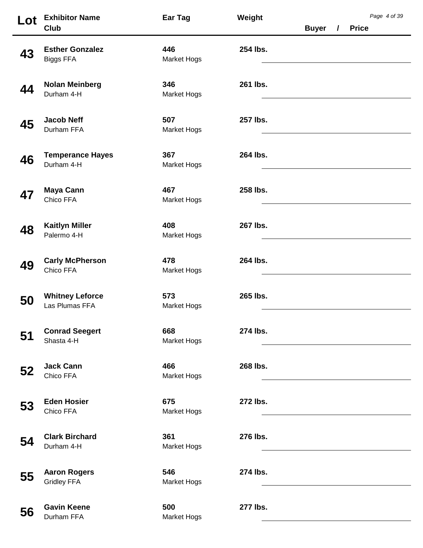| Lot | <b>Exhibitor Name</b>                      | Ear Tag                   | Weight   |              |          |              | Page 4 of 39 |  |
|-----|--------------------------------------------|---------------------------|----------|--------------|----------|--------------|--------------|--|
|     | Club                                       |                           |          | <b>Buyer</b> | $\prime$ | <b>Price</b> |              |  |
| 43  | <b>Esther Gonzalez</b><br><b>Biggs FFA</b> | 446<br><b>Market Hogs</b> | 254 lbs. |              |          |              |              |  |
| 44  | <b>Nolan Meinberg</b><br>Durham 4-H        | 346<br><b>Market Hogs</b> | 261 lbs. |              |          |              |              |  |
| 45  | <b>Jacob Neff</b><br>Durham FFA            | 507<br><b>Market Hogs</b> | 257 lbs. |              |          |              |              |  |
| 46  | <b>Temperance Hayes</b><br>Durham 4-H      | 367<br>Market Hogs        | 264 lbs. |              |          |              |              |  |
| 47  | <b>Maya Cann</b><br>Chico FFA              | 467<br><b>Market Hogs</b> | 258 lbs. |              |          |              |              |  |
| 48  | <b>Kaitlyn Miller</b><br>Palermo 4-H       | 408<br><b>Market Hogs</b> | 267 lbs. |              |          |              |              |  |
| 49  | <b>Carly McPherson</b><br>Chico FFA        | 478<br><b>Market Hogs</b> | 264 lbs. |              |          |              |              |  |
| 50  | <b>Whitney Leforce</b><br>Las Plumas FFA   | 573<br><b>Market Hogs</b> | 265 lbs. |              |          |              |              |  |
| 51  | <b>Conrad Seegert</b><br>Shasta 4-H        | 668<br><b>Market Hogs</b> | 274 lbs. |              |          |              |              |  |
| 52  | <b>Jack Cann</b><br>Chico FFA              | 466<br><b>Market Hogs</b> | 268 lbs. |              |          |              |              |  |
| 53  | <b>Eden Hosier</b><br>Chico FFA            | 675<br><b>Market Hogs</b> | 272 lbs. |              |          |              |              |  |
| 54  | <b>Clark Birchard</b><br>Durham 4-H        | 361<br><b>Market Hogs</b> | 276 lbs. |              |          |              |              |  |
| 55  | <b>Aaron Rogers</b><br><b>Gridley FFA</b>  | 546<br><b>Market Hogs</b> | 274 lbs. |              |          |              |              |  |
| 56  | <b>Gavin Keene</b><br>Durham FFA           | 500<br><b>Market Hogs</b> | 277 lbs. |              |          |              |              |  |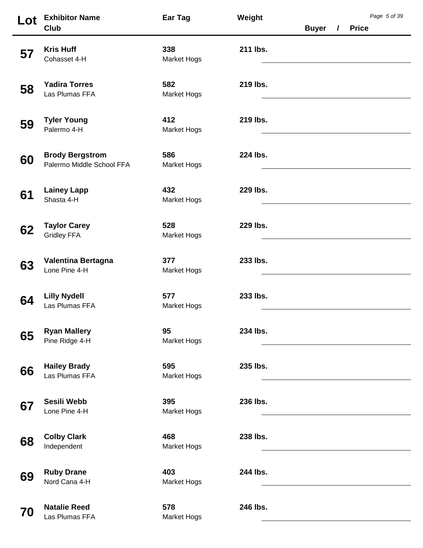| Lot | <b>Exhibitor Name</b>                               | Ear Tag                   | Weight   |              |          |              | Page 5 of 39 |  |
|-----|-----------------------------------------------------|---------------------------|----------|--------------|----------|--------------|--------------|--|
|     | <b>Club</b>                                         |                           |          | <b>Buyer</b> | $\prime$ | <b>Price</b> |              |  |
| 57  | <b>Kris Huff</b><br>Cohasset 4-H                    | 338<br><b>Market Hogs</b> | 211 lbs. |              |          |              |              |  |
| 58  | <b>Yadira Torres</b><br>Las Plumas FFA              | 582<br>Market Hogs        | 219 lbs. |              |          |              |              |  |
| 59  | <b>Tyler Young</b><br>Palermo 4-H                   | 412<br>Market Hogs        | 219 lbs. |              |          |              |              |  |
| 60  | <b>Brody Bergstrom</b><br>Palermo Middle School FFA | 586<br><b>Market Hogs</b> | 224 lbs. |              |          |              |              |  |
| 61  | <b>Lainey Lapp</b><br>Shasta 4-H                    | 432<br>Market Hogs        | 229 lbs. |              |          |              |              |  |
| 62  | <b>Taylor Carey</b><br><b>Gridley FFA</b>           | 528<br>Market Hogs        | 229 lbs. |              |          |              |              |  |
| 63  | Valentina Bertagna<br>Lone Pine 4-H                 | 377<br>Market Hogs        | 233 lbs. |              |          |              |              |  |
| 64  | <b>Lilly Nydell</b><br>Las Plumas FFA               | 577<br>Market Hogs        | 233 lbs. |              |          |              |              |  |
| 65  | <b>Ryan Mallery</b><br>Pine Ridge 4-H               | 95<br>Market Hogs         | 234 lbs. |              |          |              |              |  |
| 66  | <b>Hailey Brady</b><br>Las Plumas FFA               | 595<br>Market Hogs        | 235 lbs. |              |          |              |              |  |
| 67  | Sesili Webb<br>Lone Pine 4-H                        | 395<br>Market Hogs        | 236 lbs. |              |          |              |              |  |
| 68  | <b>Colby Clark</b><br>Independent                   | 468<br>Market Hogs        | 238 lbs. |              |          |              |              |  |
| 69  | <b>Ruby Drane</b><br>Nord Cana 4-H                  | 403<br>Market Hogs        | 244 lbs. |              |          |              |              |  |
| 70  | <b>Natalie Reed</b><br>Las Plumas FFA               | 578<br><b>Market Hogs</b> | 246 lbs. |              |          |              |              |  |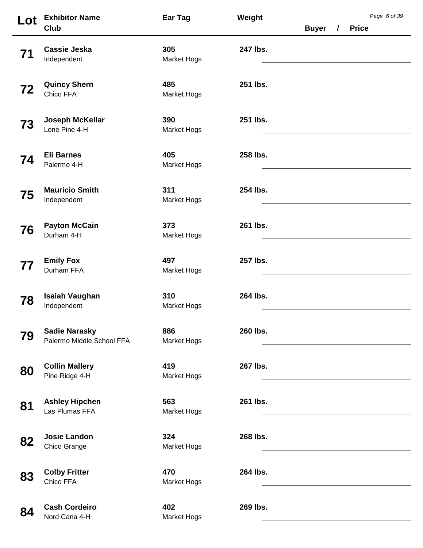| Lot | <b>Exhibitor Name</b><br>Club                     | Ear Tag                   | Weight   | <b>Buyer</b> | $\prime$ | <b>Price</b> | Page 6 of 39 |
|-----|---------------------------------------------------|---------------------------|----------|--------------|----------|--------------|--------------|
| 71  | <b>Cassie Jeska</b><br>Independent                | 305<br><b>Market Hogs</b> | 247 lbs. |              |          |              |              |
| 72  | <b>Quincy Shern</b><br>Chico FFA                  | 485<br><b>Market Hogs</b> | 251 lbs. |              |          |              |              |
| 73  | Joseph McKellar<br>Lone Pine 4-H                  | 390<br><b>Market Hogs</b> | 251 lbs. |              |          |              |              |
| 74  | <b>Eli Barnes</b><br>Palermo 4-H                  | 405<br><b>Market Hogs</b> | 258 lbs. |              |          |              |              |
| 75  | <b>Mauricio Smith</b><br>Independent              | 311<br><b>Market Hogs</b> | 254 lbs. |              |          |              |              |
| 76  | <b>Payton McCain</b><br>Durham 4-H                | 373<br><b>Market Hogs</b> | 261 lbs. |              |          |              |              |
| 77  | <b>Emily Fox</b><br>Durham FFA                    | 497<br><b>Market Hogs</b> | 257 lbs. |              |          |              |              |
| 78  | <b>Isaiah Vaughan</b><br>Independent              | 310<br><b>Market Hogs</b> | 264 lbs. |              |          |              |              |
| 79  | <b>Sadie Narasky</b><br>Palermo Middle School FFA | 886<br><b>Market Hogs</b> | 260 lbs. |              |          |              |              |
| 80  | <b>Collin Mallery</b><br>Pine Ridge 4-H           | 419<br><b>Market Hogs</b> | 267 lbs. |              |          |              |              |
| 81  | <b>Ashley Hipchen</b><br>Las Plumas FFA           | 563<br><b>Market Hogs</b> | 261 lbs. |              |          |              |              |
| 82  | <b>Josie Landon</b><br>Chico Grange               | 324<br><b>Market Hogs</b> | 268 lbs. |              |          |              |              |
| 83  | <b>Colby Fritter</b><br>Chico FFA                 | 470<br><b>Market Hogs</b> | 264 lbs. |              |          |              |              |
| 84  | <b>Cash Cordeiro</b><br>Nord Cana 4-H             | 402<br><b>Market Hogs</b> | 269 lbs. |              |          |              |              |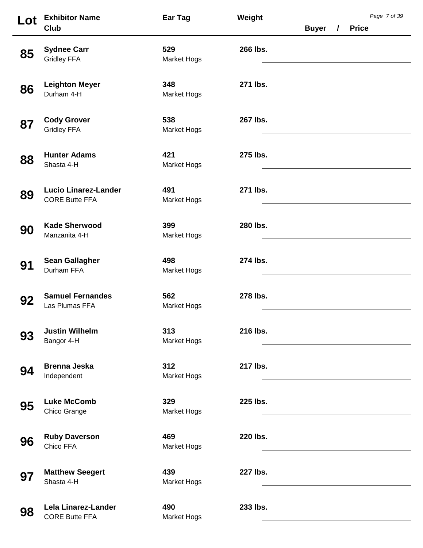| Lot | <b>Exhibitor Name</b><br>Club                        | Ear Tag                   | Weight   | <b>Buyer</b> | $\mathcal{L}$ | <b>Price</b> | Page 7 of 39 |
|-----|------------------------------------------------------|---------------------------|----------|--------------|---------------|--------------|--------------|
| 85  | <b>Sydnee Carr</b><br><b>Gridley FFA</b>             | 529<br>Market Hogs        | 266 lbs. |              |               |              |              |
| 86  | <b>Leighton Meyer</b><br>Durham 4-H                  | 348<br><b>Market Hogs</b> | 271 lbs. |              |               |              |              |
| 87  | <b>Cody Grover</b><br><b>Gridley FFA</b>             | 538<br><b>Market Hogs</b> | 267 lbs. |              |               |              |              |
| 88  | <b>Hunter Adams</b><br>Shasta 4-H                    | 421<br>Market Hogs        | 275 lbs. |              |               |              |              |
| 89  | <b>Lucio Linarez-Lander</b><br><b>CORE Butte FFA</b> | 491<br><b>Market Hogs</b> | 271 lbs. |              |               |              |              |
| 90  | <b>Kade Sherwood</b><br>Manzanita 4-H                | 399<br><b>Market Hogs</b> | 280 lbs. |              |               |              |              |
| 91  | <b>Sean Gallagher</b><br>Durham FFA                  | 498<br><b>Market Hogs</b> | 274 lbs. |              |               |              |              |
| 92  | <b>Samuel Fernandes</b><br>Las Plumas FFA            | 562<br>Market Hogs        | 278 lbs. |              |               |              |              |
| 93  | <b>Justin Wilhelm</b><br>Bangor 4-H                  | 313<br>Market Hogs        | 216 lbs. |              |               |              |              |
| 94  | <b>Brenna Jeska</b><br>Independent                   | 312<br><b>Market Hogs</b> | 217 lbs. |              |               |              |              |
| 95  | <b>Luke McComb</b><br>Chico Grange                   | 329<br><b>Market Hogs</b> | 225 lbs. |              |               |              |              |
| 96  | <b>Ruby Daverson</b><br>Chico FFA                    | 469<br><b>Market Hogs</b> | 220 lbs. |              |               |              |              |
| 97  | <b>Matthew Seegert</b><br>Shasta 4-H                 | 439<br><b>Market Hogs</b> | 227 lbs. |              |               |              |              |
| 98  | Lela Linarez-Lander<br><b>CORE Butte FFA</b>         | 490<br>Market Hogs        | 233 lbs. |              |               |              |              |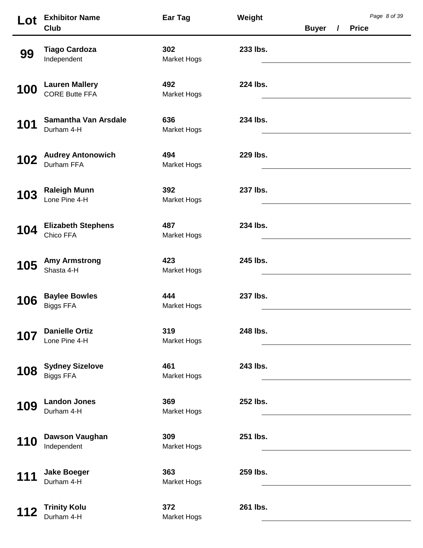| Lot | <b>Exhibitor Name</b><br>Club                  | Ear Tag                   | Weight   | <b>Buyer</b> | $\prime$ | <b>Price</b> | Page 8 of 39 |
|-----|------------------------------------------------|---------------------------|----------|--------------|----------|--------------|--------------|
| 99  | <b>Tiago Cardoza</b><br>Independent            | 302<br>Market Hogs        | 233 lbs. |              |          |              |              |
| 100 | <b>Lauren Mallery</b><br><b>CORE Butte FFA</b> | 492<br>Market Hogs        | 224 lbs. |              |          |              |              |
| 101 | <b>Samantha Van Arsdale</b><br>Durham 4-H      | 636<br>Market Hogs        | 234 lbs. |              |          |              |              |
| 102 | <b>Audrey Antonowich</b><br>Durham FFA         | 494<br><b>Market Hogs</b> | 229 lbs. |              |          |              |              |
| 103 | <b>Raleigh Munn</b><br>Lone Pine 4-H           | 392<br>Market Hogs        | 237 lbs. |              |          |              |              |
| 104 | <b>Elizabeth Stephens</b><br>Chico FFA         | 487<br>Market Hogs        | 234 lbs. |              |          |              |              |
| 105 | <b>Amy Armstrong</b><br>Shasta 4-H             | 423<br>Market Hogs        | 245 lbs. |              |          |              |              |
| 106 | <b>Baylee Bowles</b><br><b>Biggs FFA</b>       | 444<br>Market Hogs        | 237 lbs. |              |          |              |              |
| 107 | <b>Danielle Ortiz</b><br>Lone Pine 4-H         | 319<br>Market Hogs        | 248 lbs. |              |          |              |              |
| 108 | <b>Sydney Sizelove</b><br><b>Biggs FFA</b>     | 461<br>Market Hogs        | 243 lbs. |              |          |              |              |
| 109 | <b>Landon Jones</b><br>Durham 4-H              | 369<br>Market Hogs        | 252 lbs. |              |          |              |              |
| 110 | Dawson Vaughan<br>Independent                  | 309<br>Market Hogs        | 251 lbs. |              |          |              |              |
| 111 | <b>Jake Boeger</b><br>Durham 4-H               | 363<br>Market Hogs        | 259 lbs. |              |          |              |              |
|     | <b>Trinity Kolu</b><br>Durham 4-H              | 372<br>Market Hogs        | 261 lbs. |              |          |              |              |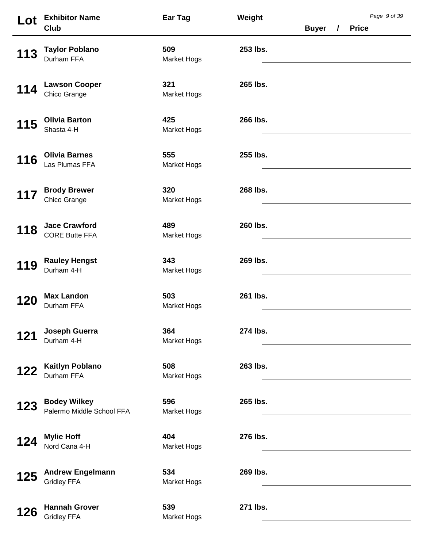| Lot | <b>Exhibitor Name</b><br>Club                    | Ear Tag                   | Weight   | <b>Buyer</b> | $\prime$ | <b>Price</b> | Page 9 of 39 |
|-----|--------------------------------------------------|---------------------------|----------|--------------|----------|--------------|--------------|
| 113 | <b>Taylor Poblano</b><br>Durham FFA              | 509<br>Market Hogs        | 253 lbs. |              |          |              |              |
|     | <b>Lawson Cooper</b><br>Chico Grange             | 321<br>Market Hogs        | 265 lbs. |              |          |              |              |
| 115 | <b>Olivia Barton</b><br>Shasta 4-H               | 425<br>Market Hogs        | 266 lbs. |              |          |              |              |
| 116 | <b>Olivia Barnes</b><br>Las Plumas FFA           | 555<br><b>Market Hogs</b> | 255 lbs. |              |          |              |              |
|     | <b>Brody Brewer</b><br>Chico Grange              | 320<br><b>Market Hogs</b> | 268 lbs. |              |          |              |              |
| 118 | <b>Jace Crawford</b><br><b>CORE Butte FFA</b>    | 489<br><b>Market Hogs</b> | 260 lbs. |              |          |              |              |
| 119 | <b>Rauley Hengst</b><br>Durham 4-H               | 343<br><b>Market Hogs</b> | 269 lbs. |              |          |              |              |
| 120 | <b>Max Landon</b><br>Durham FFA                  | 503<br><b>Market Hogs</b> | 261 lbs. |              |          |              |              |
|     | <b>Joseph Guerra</b><br>Durham 4-H               | 364<br>Market Hogs        | 274 lbs. |              |          |              |              |
| 122 | <b>Kaitlyn Poblano</b><br>Durham FFA             | 508<br><b>Market Hogs</b> | 263 lbs. |              |          |              |              |
| 123 | <b>Bodey Wilkey</b><br>Palermo Middle School FFA | 596<br>Market Hogs        | 265 lbs. |              |          |              |              |
| 124 | <b>Mylie Hoff</b><br>Nord Cana 4-H               | 404<br><b>Market Hogs</b> | 276 lbs. |              |          |              |              |
| 125 | <b>Andrew Engelmann</b><br><b>Gridley FFA</b>    | 534<br>Market Hogs        | 269 lbs. |              |          |              |              |
| 126 | <b>Hannah Grover</b><br><b>Gridley FFA</b>       | 539<br>Market Hogs        | 271 lbs. |              |          |              |              |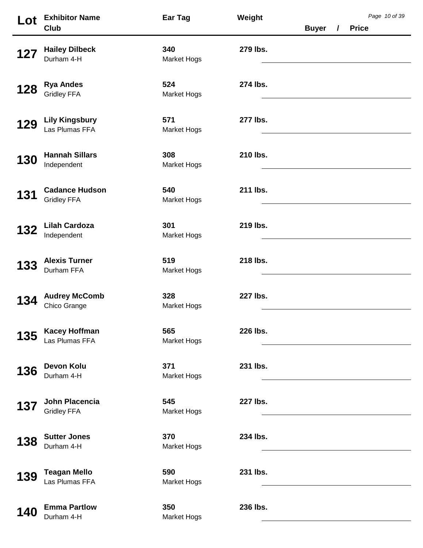| Lot | <b>Exhibitor Name</b>                       | Ear Tag                   | Weight          |                                                                                                                      |          |              | Page 10 of 39 |
|-----|---------------------------------------------|---------------------------|-----------------|----------------------------------------------------------------------------------------------------------------------|----------|--------------|---------------|
|     | Club                                        |                           |                 | <b>Buyer</b>                                                                                                         | $\prime$ | <b>Price</b> |               |
| 127 | <b>Hailey Dilbeck</b><br>Durham 4-H         | 340<br>Market Hogs        | 279 lbs.        |                                                                                                                      |          |              |               |
| 128 | <b>Rya Andes</b><br><b>Gridley FFA</b>      | 524<br>Market Hogs        | 274 lbs.        |                                                                                                                      |          |              |               |
| 129 | <b>Lily Kingsbury</b><br>Las Plumas FFA     | 571<br>Market Hogs        | 277 lbs.        |                                                                                                                      |          |              |               |
| 130 | <b>Hannah Sillars</b><br>Independent        | 308<br><b>Market Hogs</b> | 210 lbs.        |                                                                                                                      |          |              |               |
| 131 | <b>Cadance Hudson</b><br><b>Gridley FFA</b> | 540<br>Market Hogs        | 211 lbs.        |                                                                                                                      |          |              |               |
| 132 | <b>Lilah Cardoza</b><br>Independent         | 301<br>Market Hogs        | 219 lbs.        |                                                                                                                      |          |              |               |
| 133 | <b>Alexis Turner</b><br>Durham FFA          | 519<br><b>Market Hogs</b> | 218 lbs.        |                                                                                                                      |          |              |               |
| 134 | <b>Audrey McComb</b><br>Chico Grange        | 328<br>Market Hogs        | 227 lbs.        |                                                                                                                      |          |              |               |
| 135 | <b>Kacey Hoffman</b><br>Las Plumas FFA      | 565<br>Market Hogs        | 226 lbs.        |                                                                                                                      |          |              |               |
| 136 | <b>Devon Kolu</b><br>Durham 4-H             | 371<br>Market Hogs        | 231 lbs.        |                                                                                                                      |          |              |               |
| 137 | <b>John Placencia</b><br><b>Gridley FFA</b> | 545<br>Market Hogs        | <b>227 lbs.</b> |                                                                                                                      |          |              |               |
| 138 | <b>Sutter Jones</b><br>Durham 4-H           | 370<br>Market Hogs        | 234 lbs.        | <u> 1980 - Johann Barn, mars ann an t-Amhain Aonaich an t-Aonaich an t-Aonaich ann an t-Aonaich ann an t-Aonaich</u> |          |              |               |
| 139 | <b>Teagan Mello</b><br>Las Plumas FFA       | 590<br>Market Hogs        | 231 lbs.        |                                                                                                                      |          |              |               |
| 140 | <b>Emma Partlow</b><br>Durham 4-H           | 350<br>Market Hogs        | 236 lbs.        |                                                                                                                      |          |              |               |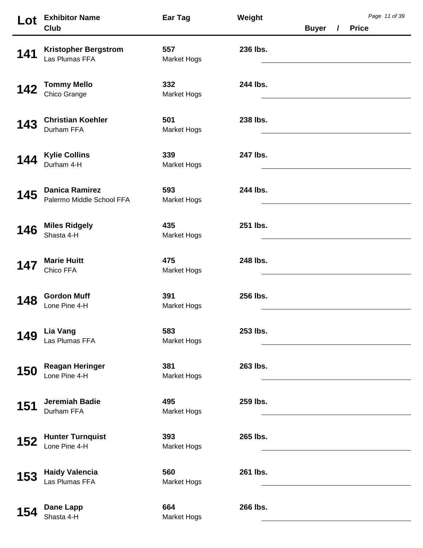| Lot | <b>Exhibitor Name</b>                              | Ear Tag                   | Weight   |              |          |              | Page 11 of 39 |  |
|-----|----------------------------------------------------|---------------------------|----------|--------------|----------|--------------|---------------|--|
|     | Club                                               |                           |          | <b>Buyer</b> | $\prime$ | <b>Price</b> |               |  |
| 141 | <b>Kristopher Bergstrom</b><br>Las Plumas FFA      | 557<br>Market Hogs        | 236 lbs. |              |          |              |               |  |
| 142 | <b>Tommy Mello</b><br>Chico Grange                 | 332<br>Market Hogs        | 244 lbs. |              |          |              |               |  |
| 143 | <b>Christian Koehler</b><br>Durham FFA             | 501<br>Market Hogs        | 238 lbs. |              |          |              |               |  |
| 144 | <b>Kylie Collins</b><br>Durham 4-H                 | 339<br>Market Hogs        | 247 lbs. |              |          |              |               |  |
| 145 | <b>Danica Ramirez</b><br>Palermo Middle School FFA | 593<br>Market Hogs        | 244 lbs. |              |          |              |               |  |
| 146 | <b>Miles Ridgely</b><br>Shasta 4-H                 | 435<br>Market Hogs        | 251 lbs. |              |          |              |               |  |
| 147 | <b>Marie Huitt</b><br>Chico FFA                    | 475<br>Market Hogs        | 248 lbs. |              |          |              |               |  |
| 148 | <b>Gordon Muff</b><br>Lone Pine 4-H                | 391<br><b>Market Hogs</b> | 256 lbs. |              |          |              |               |  |
| 149 | Lia Vang<br>Las Plumas FFA                         | 583<br>Market Hogs        | 253 lbs. |              |          |              |               |  |
| 150 | <b>Reagan Heringer</b><br>Lone Pine 4-H            | 381<br>Market Hogs        | 263 lbs. |              |          |              |               |  |
| 151 | <b>Jeremiah Badie</b><br>Durham FFA                | 495<br>Market Hogs        | 259 lbs. |              |          |              |               |  |
| 152 | <b>Hunter Turnquist</b><br>Lone Pine 4-H           | 393<br>Market Hogs        | 265 lbs. |              |          |              |               |  |
| 153 | <b>Haidy Valencia</b><br>Las Plumas FFA            | 560<br>Market Hogs        | 261 lbs. |              |          |              |               |  |
| 154 | <b>Dane Lapp</b><br>Shasta 4-H                     | 664<br><b>Market Hogs</b> | 266 lbs. |              |          |              |               |  |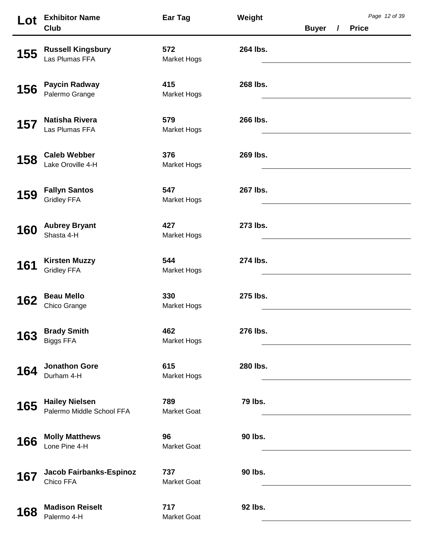| Lot        | <b>Exhibitor Name</b><br>Club                      | <b>Ear Tag</b>            | Weight   | <b>Buyer</b> | $\prime$ | <b>Price</b> | Page 12 of 39 |
|------------|----------------------------------------------------|---------------------------|----------|--------------|----------|--------------|---------------|
| 155        | <b>Russell Kingsbury</b><br>Las Plumas FFA         | 572<br><b>Market Hogs</b> | 264 lbs. |              |          |              |               |
| 156        | <b>Paycin Radway</b><br>Palermo Grange             | 415<br><b>Market Hogs</b> | 268 lbs. |              |          |              |               |
| 157        | <b>Natisha Rivera</b><br>Las Plumas FFA            | 579<br><b>Market Hogs</b> | 266 lbs. |              |          |              |               |
| 158        | <b>Caleb Webber</b><br>Lake Oroville 4-H           | 376<br><b>Market Hogs</b> | 269 lbs. |              |          |              |               |
| 159        | <b>Fallyn Santos</b><br><b>Gridley FFA</b>         | 547<br><b>Market Hogs</b> | 267 lbs. |              |          |              |               |
| 160        | <b>Aubrey Bryant</b><br>Shasta 4-H                 | 427<br><b>Market Hogs</b> | 273 lbs. |              |          |              |               |
| 161        | <b>Kirsten Muzzy</b><br><b>Gridley FFA</b>         | 544<br><b>Market Hogs</b> | 274 lbs. |              |          |              |               |
| 162        | <b>Beau Mello</b><br>Chico Grange                  | 330<br><b>Market Hogs</b> | 275 lbs. |              |          |              |               |
| <b>163</b> | <b>Brady Smith</b><br><b>Biggs FFA</b>             | 462<br><b>Market Hogs</b> | 276 lbs. |              |          |              |               |
| 164        | <b>Jonathon Gore</b><br>Durham 4-H                 | 615<br><b>Market Hogs</b> | 280 lbs. |              |          |              |               |
| 165        | <b>Hailey Nielsen</b><br>Palermo Middle School FFA | 789<br><b>Market Goat</b> | 79 lbs.  |              |          |              |               |
| 166        | <b>Molly Matthews</b><br>Lone Pine 4-H             | 96<br><b>Market Goat</b>  | 90 lbs.  |              |          |              |               |
| 167        | <b>Jacob Fairbanks-Espinoz</b><br>Chico FFA        | 737<br><b>Market Goat</b> | 90 lbs.  |              |          |              |               |
| 168        | <b>Madison Reiselt</b><br>Palermo 4-H              | 717<br><b>Market Goat</b> | 92 lbs.  |              |          |              |               |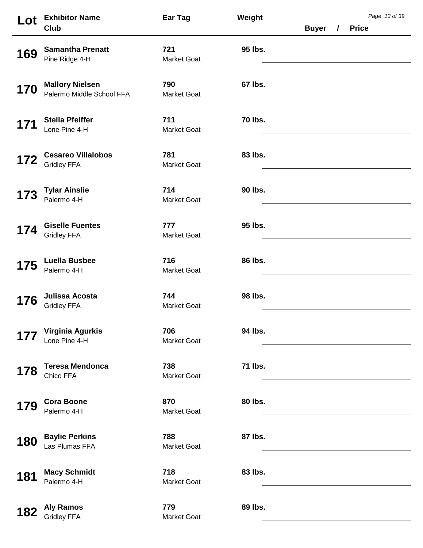| Lot | <b>Exhibitor Name</b><br>Club                       | <b>Ear Tag</b>            | Weight  | <b>Buyer</b> | $\prime$ | <b>Price</b> | Page 13 of 39 |  |
|-----|-----------------------------------------------------|---------------------------|---------|--------------|----------|--------------|---------------|--|
| 169 | <b>Samantha Prenatt</b><br>Pine Ridge 4-H           | 721<br><b>Market Goat</b> | 95 lbs. |              |          |              |               |  |
| 170 | <b>Mallory Nielsen</b><br>Palermo Middle School FFA | 790<br><b>Market Goat</b> | 67 lbs. |              |          |              |               |  |
| 171 | <b>Stella Pfeiffer</b><br>Lone Pine 4-H             | 711<br><b>Market Goat</b> | 70 lbs. |              |          |              |               |  |
| 172 | <b>Cesareo Villalobos</b><br><b>Gridley FFA</b>     | 781<br><b>Market Goat</b> | 83 lbs. |              |          |              |               |  |
| 173 | <b>Tylar Ainslie</b><br>Palermo 4-H                 | 714<br><b>Market Goat</b> | 90 lbs. |              |          |              |               |  |
| 174 | <b>Giselle Fuentes</b><br><b>Gridley FFA</b>        | 777<br><b>Market Goat</b> | 95 lbs. |              |          |              |               |  |
| 175 | <b>Luella Busbee</b><br>Palermo 4-H                 | 716<br><b>Market Goat</b> | 86 lbs. |              |          |              |               |  |
| 176 | Julissa Acosta<br><b>Gridley FFA</b>                | 744<br><b>Market Goat</b> | 98 lbs. |              |          |              |               |  |
|     | Virginia Agurkis<br>Lone Pine 4-H                   | 706<br><b>Market Goat</b> | 94 lbs. |              |          |              |               |  |
| 178 | <b>Teresa Mendonca</b><br>Chico FFA                 | 738<br><b>Market Goat</b> | 71 lbs. |              |          |              |               |  |
| 179 | <b>Cora Boone</b><br>Palermo 4-H                    | 870<br><b>Market Goat</b> | 80 lbs. |              |          |              |               |  |
| 180 | <b>Baylie Perkins</b><br>Las Plumas FFA             | 788<br><b>Market Goat</b> | 87 lbs. |              |          |              |               |  |
| 181 | <b>Macy Schmidt</b><br>Palermo 4-H                  | 718<br><b>Market Goat</b> | 83 lbs. |              |          |              |               |  |
| 182 | <b>Aly Ramos</b><br><b>Gridley FFA</b>              | 779<br><b>Market Goat</b> | 89 lbs. |              |          |              |               |  |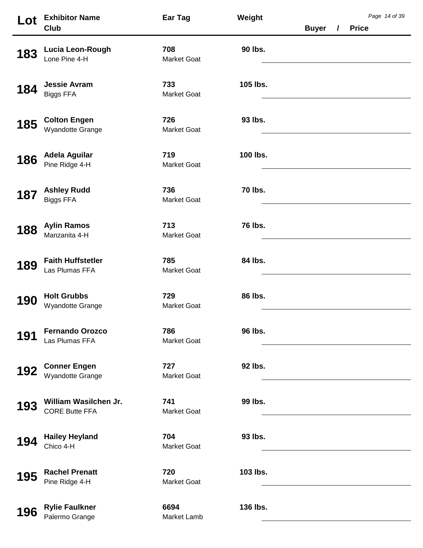| Lot | <b>Exhibitor Name</b><br>Club                  | Ear Tag                   | Weight         | <b>Buyer</b> | $\prime$ | <b>Price</b> | Page 14 of 39 |
|-----|------------------------------------------------|---------------------------|----------------|--------------|----------|--------------|---------------|
| 183 | Lucia Leon-Rough<br>Lone Pine 4-H              | 708<br><b>Market Goat</b> | 90 lbs.        |              |          |              |               |
| 184 | <b>Jessie Avram</b><br><b>Biggs FFA</b>        | 733<br><b>Market Goat</b> | 105 lbs.       |              |          |              |               |
| 185 | <b>Colton Engen</b><br>Wyandotte Grange        | 726<br><b>Market Goat</b> | 93 lbs.        |              |          |              |               |
| 186 | <b>Adela Aguilar</b><br>Pine Ridge 4-H         | 719<br><b>Market Goat</b> | 100 lbs.       |              |          |              |               |
| 187 | <b>Ashley Rudd</b><br><b>Biggs FFA</b>         | 736<br><b>Market Goat</b> | 70 lbs.        |              |          |              |               |
| 188 | <b>Aylin Ramos</b><br>Manzanita 4-H            | 713<br><b>Market Goat</b> | <b>76 lbs.</b> |              |          |              |               |
| 189 | <b>Faith Huffstetler</b><br>Las Plumas FFA     | 785<br><b>Market Goat</b> | 84 lbs.        |              |          |              |               |
| 190 | <b>Holt Grubbs</b><br>Wyandotte Grange         | 729<br><b>Market Goat</b> | 86 lbs.        |              |          |              |               |
| 191 | <b>Fernando Orozco</b><br>Las Plumas FFA       | 786<br><b>Market Goat</b> | 96 lbs.        |              |          |              |               |
| 192 | <b>Conner Engen</b><br>Wyandotte Grange        | 727<br><b>Market Goat</b> | 92 lbs.        |              |          |              |               |
| 193 | William Wasilchen Jr.<br><b>CORE Butte FFA</b> | 741<br><b>Market Goat</b> | 99 lbs.        |              |          |              |               |
| 194 | <b>Hailey Heyland</b><br>Chico 4-H             | 704<br><b>Market Goat</b> | 93 lbs.        |              |          |              |               |
| 195 | <b>Rachel Prenatt</b><br>Pine Ridge 4-H        | 720<br><b>Market Goat</b> | 103 lbs.       |              |          |              |               |
| 196 | <b>Rylie Faulkner</b><br>Palermo Grange        | 6694<br>Market Lamb       | 136 lbs.       |              |          |              |               |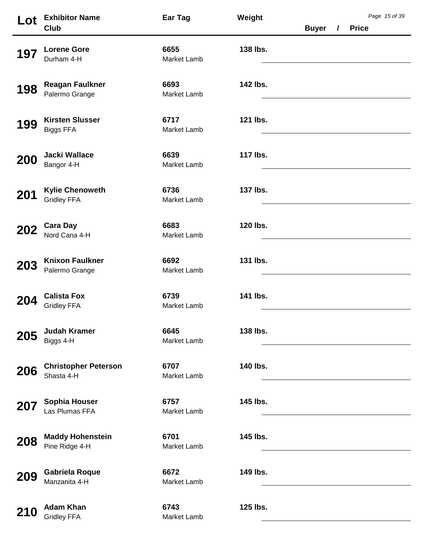| Lot        | <b>Exhibitor Name</b>                        | Ear Tag                    | Weight   |              |          |              | Page 15 of 39 |
|------------|----------------------------------------------|----------------------------|----------|--------------|----------|--------------|---------------|
|            | Club                                         |                            |          | <b>Buyer</b> | $\prime$ | <b>Price</b> |               |
| 197        | <b>Lorene Gore</b><br>Durham 4-H             | 6655<br>Market Lamb        | 138 lbs. |              |          |              |               |
| 198        | <b>Reagan Faulkner</b><br>Palermo Grange     | 6693<br><b>Market Lamb</b> | 142 lbs. |              |          |              |               |
| 199        | <b>Kirsten Slusser</b><br><b>Biggs FFA</b>   | 6717<br>Market Lamb        | 121 lbs. |              |          |              |               |
| <b>200</b> | <b>Jacki Wallace</b><br>Bangor 4-H           | 6639<br>Market Lamb        | 117 lbs. |              |          |              |               |
| 201        | <b>Kylie Chenoweth</b><br><b>Gridley FFA</b> | 6736<br>Market Lamb        | 137 lbs. |              |          |              |               |
| 202        | <b>Cara Day</b><br>Nord Cana 4-H             | 6683<br>Market Lamb        | 120 lbs. |              |          |              |               |
| <b>203</b> | <b>Knixon Faulkner</b><br>Palermo Grange     | 6692<br>Market Lamb        | 131 lbs. |              |          |              |               |
| <b>204</b> | <b>Calista Fox</b><br><b>Gridley FFA</b>     | 6739<br>Market Lamb        | 141 lbs. |              |          |              |               |
| 205        | <b>Judah Kramer</b><br>Biggs 4-H             | 6645<br>Market Lamb        | 138 lbs. |              |          |              |               |
| 206        | <b>Christopher Peterson</b><br>Shasta 4-H    | 6707<br><b>Market Lamb</b> | 140 lbs. |              |          |              |               |
| 207        | <b>Sophia Houser</b><br>Las Plumas FFA       | 6757<br>Market Lamb        | 145 lbs. |              |          |              |               |
| 208        | <b>Maddy Hohenstein</b><br>Pine Ridge 4-H    | 6701<br>Market Lamb        | 145 lbs. |              |          |              |               |
| 209        | <b>Gabriela Roque</b><br>Manzanita 4-H       | 6672<br>Market Lamb        | 149 lbs. |              |          |              |               |
| 210        | <b>Adam Khan</b><br><b>Gridley FFA</b>       | 6743<br>Market Lamb        | 125 lbs. |              |          |              |               |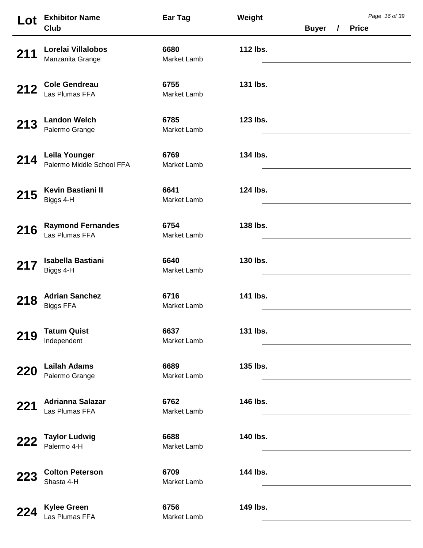| Lot | <b>Exhibitor Name</b>                      | Ear Tag                    | Weight   |                                                                                           |          |              | Page 16 of 39 |
|-----|--------------------------------------------|----------------------------|----------|-------------------------------------------------------------------------------------------|----------|--------------|---------------|
|     | Club                                       |                            |          | <b>Buyer</b>                                                                              | $\prime$ | <b>Price</b> |               |
| 211 | Lorelai Villalobos<br>Manzanita Grange     | 6680<br>Market Lamb        | 112 lbs. |                                                                                           |          |              |               |
| 212 | <b>Cole Gendreau</b><br>Las Plumas FFA     | 6755<br>Market Lamb        | 131 lbs. |                                                                                           |          |              |               |
| 213 | <b>Landon Welch</b><br>Palermo Grange      | 6785<br>Market Lamb        | 123 lbs. |                                                                                           |          |              |               |
| 214 | Leila Younger<br>Palermo Middle School FFA | 6769<br><b>Market Lamb</b> | 134 lbs. |                                                                                           |          |              |               |
| 215 | Kevin Bastiani II<br>Biggs 4-H             | 6641<br><b>Market Lamb</b> | 124 lbs. |                                                                                           |          |              |               |
| 216 | <b>Raymond Fernandes</b><br>Las Plumas FFA | 6754<br>Market Lamb        | 138 lbs. |                                                                                           |          |              |               |
| 217 | <b>Isabella Bastiani</b><br>Biggs 4-H      | 6640<br>Market Lamb        | 130 lbs. |                                                                                           |          |              |               |
| 218 | <b>Adrian Sanchez</b><br><b>Biggs FFA</b>  | 6716<br>Market Lamb        | 141 lbs. |                                                                                           |          |              |               |
| 219 | <b>Tatum Quist</b><br>Independent          | 6637<br>Market Lamb        | 131 lbs. |                                                                                           |          |              |               |
| 220 | <b>Lailah Adams</b><br>Palermo Grange      | 6689<br><b>Market Lamb</b> | 135 lbs. |                                                                                           |          |              |               |
| 221 | <b>Adrianna Salazar</b><br>Las Plumas FFA  | 6762<br>Market Lamb        | 146 lbs. |                                                                                           |          |              |               |
| 222 | <b>Taylor Ludwig</b><br>Palermo 4-H        | 6688<br>Market Lamb        | 140 lbs. | the control of the control of the control of the control of the control of the control of |          |              |               |
| 223 | <b>Colton Peterson</b><br>Shasta 4-H       | 6709<br>Market Lamb        | 144 lbs. |                                                                                           |          |              |               |
| 224 | <b>Kylee Green</b><br>Las Plumas FFA       | 6756<br>Market Lamb        | 149 lbs. |                                                                                           |          |              |               |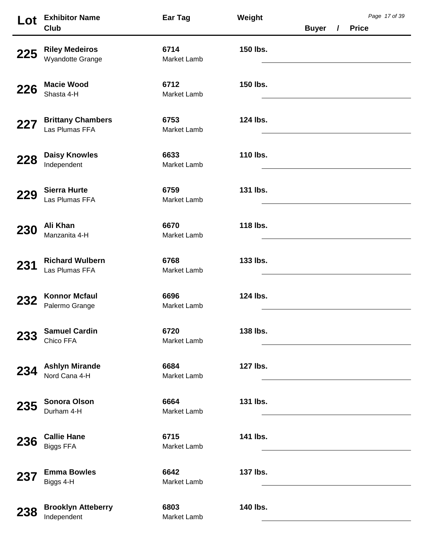| Lot        | <b>Exhibitor Name</b><br>Club              | Ear Tag                    | Weight   | <b>Buyer</b> | $\overline{1}$ | Page 17 of 39<br><b>Price</b> |  |
|------------|--------------------------------------------|----------------------------|----------|--------------|----------------|-------------------------------|--|
| 225        | <b>Riley Medeiros</b><br>Wyandotte Grange  | 6714<br><b>Market Lamb</b> | 150 lbs. |              |                |                               |  |
| 226        | <b>Macie Wood</b><br>Shasta 4-H            | 6712<br>Market Lamb        | 150 lbs. |              |                |                               |  |
| 227        | <b>Brittany Chambers</b><br>Las Plumas FFA | 6753<br>Market Lamb        | 124 lbs. |              |                |                               |  |
| 228        | <b>Daisy Knowles</b><br>Independent        | 6633<br>Market Lamb        | 110 lbs. |              |                |                               |  |
| 229        | <b>Sierra Hurte</b><br>Las Plumas FFA      | 6759<br>Market Lamb        | 131 lbs. |              |                |                               |  |
| 230        | Ali Khan<br>Manzanita 4-H                  | 6670<br>Market Lamb        | 118 lbs. |              |                |                               |  |
| 231        | <b>Richard Wulbern</b><br>Las Plumas FFA   | 6768<br>Market Lamb        | 133 lbs. |              |                |                               |  |
| 232        | <b>Konnor Mcfaul</b><br>Palermo Grange     | 6696<br>Market Lamb        | 124 lbs. |              |                |                               |  |
| <b>233</b> | <b>Samuel Cardin</b><br>Chico FFA          | 6720<br>Market Lamb        | 138 lbs. |              |                |                               |  |
| 234        | <b>Ashlyn Mirande</b><br>Nord Cana 4-H     | 6684<br><b>Market Lamb</b> | 127 lbs. |              |                |                               |  |
| 235        | <b>Sonora Olson</b><br>Durham 4-H          | 6664<br>Market Lamb        | 131 lbs. |              |                |                               |  |
| 236        | <b>Callie Hane</b><br><b>Biggs FFA</b>     | 6715<br>Market Lamb        | 141 lbs. |              |                |                               |  |
| 237        | <b>Emma Bowles</b><br>Biggs 4-H            | 6642<br>Market Lamb        | 137 lbs. |              |                |                               |  |
| 238        | <b>Brooklyn Atteberry</b><br>Independent   | 6803<br>Market Lamb        | 140 lbs. |              |                |                               |  |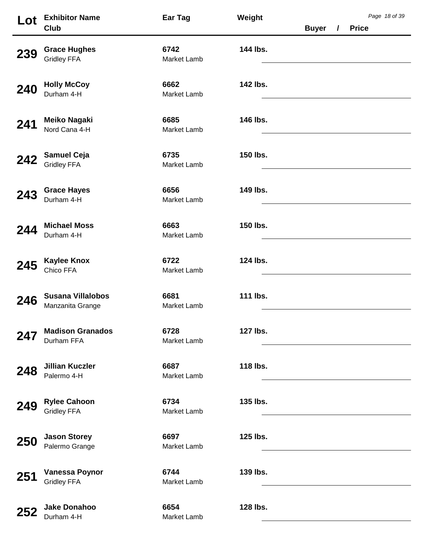| Lot | <b>Exhibitor Name</b>                        | Ear Tag                    | Weight   |              | Page 18 of 39            |
|-----|----------------------------------------------|----------------------------|----------|--------------|--------------------------|
|     | Club                                         |                            |          | <b>Buyer</b> | <b>Price</b><br>$\prime$ |
| 239 | <b>Grace Hughes</b><br><b>Gridley FFA</b>    | 6742<br><b>Market Lamb</b> | 144 lbs. |              |                          |
| 240 | <b>Holly McCoy</b><br>Durham 4-H             | 6662<br>Market Lamb        | 142 lbs. |              |                          |
| 241 | <b>Meiko Nagaki</b><br>Nord Cana 4-H         | 6685<br>Market Lamb        | 146 lbs. |              |                          |
| 242 | <b>Samuel Ceja</b><br><b>Gridley FFA</b>     | 6735<br>Market Lamb        | 150 lbs. |              |                          |
| 243 | <b>Grace Hayes</b><br>Durham 4-H             | 6656<br>Market Lamb        | 149 lbs. |              |                          |
| 244 | <b>Michael Moss</b><br>Durham 4-H            | 6663<br>Market Lamb        | 150 lbs. |              |                          |
| 245 | <b>Kaylee Knox</b><br>Chico FFA              | 6722<br>Market Lamb        | 124 lbs. |              |                          |
| 246 | <b>Susana Villalobos</b><br>Manzanita Grange | 6681<br>Market Lamb        | 111 lbs. |              |                          |
| 247 | <b>Madison Granados</b><br>Durham FFA        | 6728<br>Market Lamb        | 127 lbs. |              |                          |
| 248 | <b>Jillian Kuczler</b><br>Palermo 4-H        | 6687<br>Market Lamb        | 118 lbs. |              |                          |
| 249 | <b>Rylee Cahoon</b><br><b>Gridley FFA</b>    | 6734<br>Market Lamb        | 135 lbs. |              |                          |
| 250 | <b>Jason Storey</b><br>Palermo Grange        | 6697<br>Market Lamb        | 125 lbs. |              |                          |
| 251 | <b>Vanessa Poynor</b><br><b>Gridley FFA</b>  | 6744<br>Market Lamb        | 139 lbs. |              |                          |
| 252 | <b>Jake Donahoo</b><br>Durham 4-H            | 6654<br>Market Lamb        | 128 lbs. |              |                          |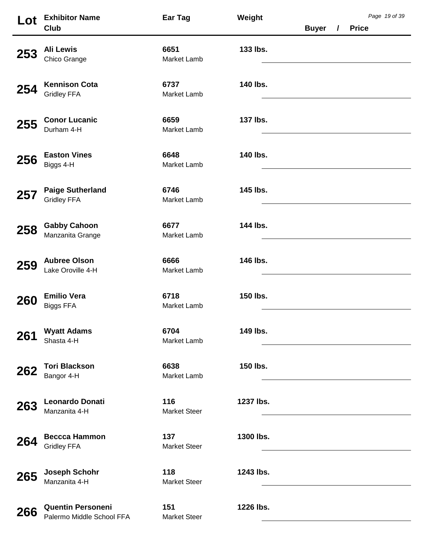| Lot        | <b>Exhibitor Name</b><br>Club                         | Ear Tag                    | Weight    | <b>Buyer</b> | $\mathcal{L}$ | <b>Price</b> | Page 19 of 39 |
|------------|-------------------------------------------------------|----------------------------|-----------|--------------|---------------|--------------|---------------|
| 253        | <b>Ali Lewis</b><br>Chico Grange                      | 6651<br>Market Lamb        | 133 lbs.  |              |               |              |               |
| 254        | <b>Kennison Cota</b><br><b>Gridley FFA</b>            | 6737<br>Market Lamb        | 140 lbs.  |              |               |              |               |
| 255        | <b>Conor Lucanic</b><br>Durham 4-H                    | 6659<br>Market Lamb        | 137 lbs.  |              |               |              |               |
| 256        | <b>Easton Vines</b><br>Biggs 4-H                      | 6648<br><b>Market Lamb</b> | 140 lbs.  |              |               |              |               |
| 257        | <b>Paige Sutherland</b><br><b>Gridley FFA</b>         | 6746<br>Market Lamb        | 145 lbs.  |              |               |              |               |
| 258        | <b>Gabby Cahoon</b><br>Manzanita Grange               | 6677<br>Market Lamb        | 144 lbs.  |              |               |              |               |
| 259        | <b>Aubree Olson</b><br>Lake Oroville 4-H              | 6666<br>Market Lamb        | 146 lbs.  |              |               |              |               |
| <b>260</b> | <b>Emilio Vera</b><br><b>Biggs FFA</b>                | 6718<br>Market Lamb        | 150 lbs.  |              |               |              |               |
| 261        | <b>Wyatt Adams</b><br>Shasta 4-H                      | 6704<br>Market Lamb        | 149 lbs.  |              |               |              |               |
| 262        | <b>Tori Blackson</b><br>Bangor 4-H                    | 6638<br>Market Lamb        | 150 lbs.  |              |               |              |               |
| 263        | <b>Leonardo Donati</b><br>Manzanita 4-H               | 116<br><b>Market Steer</b> | 1237 lbs. |              |               |              |               |
| 264        | <b>Beccca Hammon</b><br><b>Gridley FFA</b>            | 137<br><b>Market Steer</b> | 1300 lbs. |              |               |              |               |
| 265        | <b>Joseph Schohr</b><br>Manzanita 4-H                 | 118<br><b>Market Steer</b> | 1243 lbs. |              |               |              |               |
| 266        | <b>Quentin Personeni</b><br>Palermo Middle School FFA | 151<br><b>Market Steer</b> | 1226 lbs. |              |               |              |               |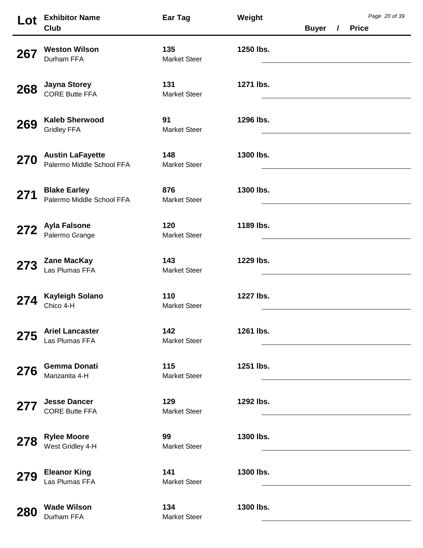| Lot        | <b>Exhibitor Name</b>                                | Ear Tag                    | Weight    |                                                       |          |              | Page 20 of 39 |
|------------|------------------------------------------------------|----------------------------|-----------|-------------------------------------------------------|----------|--------------|---------------|
|            | Club                                                 |                            |           | <b>Buyer</b>                                          | $\prime$ | <b>Price</b> |               |
| 267        | <b>Weston Wilson</b><br>Durham FFA                   | 135<br><b>Market Steer</b> | 1250 lbs. |                                                       |          |              |               |
| 268        | <b>Jayna Storey</b><br><b>CORE Butte FFA</b>         | 131<br><b>Market Steer</b> | 1271 lbs. |                                                       |          |              |               |
| 269        | <b>Kaleb Sherwood</b><br><b>Gridley FFA</b>          | 91<br><b>Market Steer</b>  | 1296 lbs. |                                                       |          |              |               |
| 270        | <b>Austin LaFayette</b><br>Palermo Middle School FFA | 148<br><b>Market Steer</b> | 1300 lbs. |                                                       |          |              |               |
| 271        | <b>Blake Earley</b><br>Palermo Middle School FFA     | 876<br><b>Market Steer</b> | 1300 lbs. |                                                       |          |              |               |
|            | <b>Ayla Falsone</b><br>Palermo Grange                | 120<br><b>Market Steer</b> | 1189 lbs. | <u> 1989 - Johann Barbara, martin a</u>               |          |              |               |
| 273        | <b>Zane MacKay</b><br>Las Plumas FFA                 | 143<br><b>Market Steer</b> | 1229 lbs. |                                                       |          |              |               |
| 274        | <b>Kayleigh Solano</b><br>Chico 4-H                  | 110<br><b>Market Steer</b> | 1227 lbs. |                                                       |          |              |               |
|            | <b>Ariel Lancaster</b><br>Las Plumas FFA             | 142<br><b>Market Steer</b> | 1261 lbs. |                                                       |          |              |               |
| 276        | <b>Gemma Donati</b><br>Manzanita 4-H                 | 115<br><b>Market Steer</b> | 1251 lbs. |                                                       |          |              |               |
| 277        | <b>Jesse Dancer</b><br><b>CORE Butte FFA</b>         | 129<br><b>Market Steer</b> | 1292 lbs. |                                                       |          |              |               |
| 278        | <b>Rylee Moore</b><br>West Gridley 4-H               | 99<br><b>Market Steer</b>  | 1300 lbs. | <u> 1980 - Johann Stoff, fransk politik (d. 1980)</u> |          |              |               |
| 279        | <b>Eleanor King</b><br>Las Plumas FFA                | 141<br><b>Market Steer</b> | 1300 lbs. |                                                       |          |              |               |
| <b>280</b> | <b>Wade Wilson</b><br>Durham FFA                     | 134<br><b>Market Steer</b> | 1300 lbs. |                                                       |          |              |               |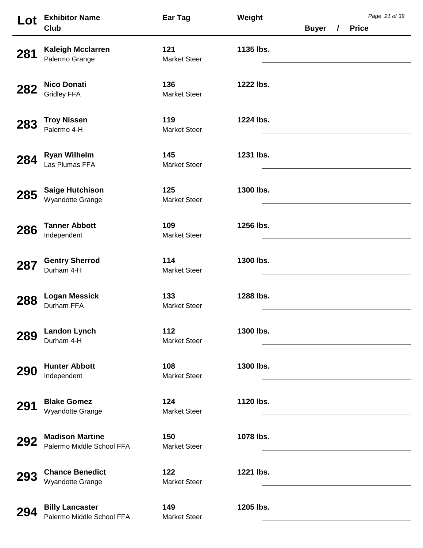| Lot | <b>Exhibitor Name</b><br>Club                       | Ear Tag                    | Weight    | <b>Buyer</b> | $\overline{I}$ | <b>Price</b> | Page 21 of 39 |
|-----|-----------------------------------------------------|----------------------------|-----------|--------------|----------------|--------------|---------------|
| 281 | <b>Kaleigh Mcclarren</b><br>Palermo Grange          | 121<br><b>Market Steer</b> | 1135 lbs. |              |                |              |               |
| 282 | <b>Nico Donati</b><br><b>Gridley FFA</b>            | 136<br><b>Market Steer</b> | 1222 lbs. |              |                |              |               |
| 283 | <b>Troy Nissen</b><br>Palermo 4-H                   | 119<br><b>Market Steer</b> | 1224 lbs. |              |                |              |               |
| 284 | <b>Ryan Wilhelm</b><br>Las Plumas FFA               | 145<br><b>Market Steer</b> | 1231 lbs. |              |                |              |               |
| 285 | <b>Saige Hutchison</b><br>Wyandotte Grange          | 125<br><b>Market Steer</b> | 1300 lbs. |              |                |              |               |
| 286 | <b>Tanner Abbott</b><br>Independent                 | 109<br><b>Market Steer</b> | 1256 lbs. |              |                |              |               |
| 287 | <b>Gentry Sherrod</b><br>Durham 4-H                 | 114<br><b>Market Steer</b> | 1300 lbs. |              |                |              |               |
| 288 | <b>Logan Messick</b><br>Durham FFA                  | 133<br><b>Market Steer</b> | 1288 lbs. |              |                |              |               |
| 289 | <b>Landon Lynch</b><br>Durham 4-H                   | 112<br><b>Market Steer</b> | 1300 lbs. |              |                |              |               |
| 290 | <b>Hunter Abbott</b><br>Independent                 | 108<br><b>Market Steer</b> | 1300 lbs. |              |                |              |               |
| 291 | <b>Blake Gomez</b><br>Wyandotte Grange              | 124<br><b>Market Steer</b> | 1120 lbs. |              |                |              |               |
| 292 | <b>Madison Martine</b><br>Palermo Middle School FFA | 150<br><b>Market Steer</b> | 1078 lbs. |              |                |              |               |
| 293 | <b>Chance Benedict</b><br>Wyandotte Grange          | 122<br><b>Market Steer</b> | 1221 lbs. |              |                |              |               |
| 294 | <b>Billy Lancaster</b><br>Palermo Middle School FFA | 149<br><b>Market Steer</b> | 1205 lbs. |              |                |              |               |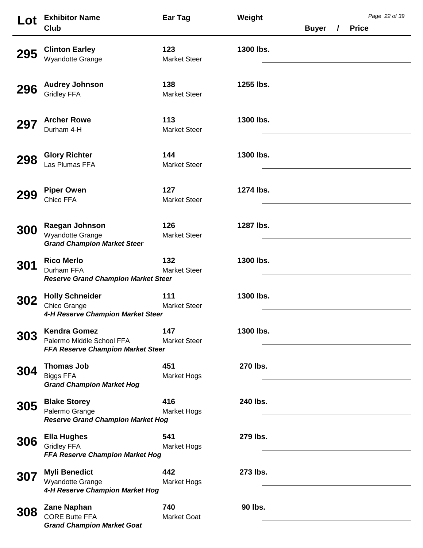| Lot        | <b>Exhibitor Name</b>                                                                 | Ear Tag                    | Weight    |              |          |              | Page 22 of 39 |
|------------|---------------------------------------------------------------------------------------|----------------------------|-----------|--------------|----------|--------------|---------------|
|            | Club                                                                                  |                            |           | <b>Buyer</b> | $\prime$ | <b>Price</b> |               |
| 295        | <b>Clinton Earley</b><br>Wyandotte Grange                                             | 123<br><b>Market Steer</b> | 1300 lbs. |              |          |              |               |
| 296        | <b>Audrey Johnson</b><br><b>Gridley FFA</b>                                           | 138<br><b>Market Steer</b> | 1255 lbs. |              |          |              |               |
| 297        | <b>Archer Rowe</b><br>Durham 4-H                                                      | 113<br><b>Market Steer</b> | 1300 lbs. |              |          |              |               |
| 298        | <b>Glory Richter</b><br>Las Plumas FFA                                                | 144<br><b>Market Steer</b> | 1300 lbs. |              |          |              |               |
| 299        | <b>Piper Owen</b><br>Chico FFA                                                        | 127<br><b>Market Steer</b> | 1274 lbs. |              |          |              |               |
| 300        | Raegan Johnson<br>Wyandotte Grange<br><b>Grand Champion Market Steer</b>              | 126<br><b>Market Steer</b> | 1287 lbs. |              |          |              |               |
| 301        | <b>Rico Merlo</b><br>Durham FFA<br><b>Reserve Grand Champion Market Steer</b>         | 132<br><b>Market Steer</b> | 1300 lbs. |              |          |              |               |
| <b>302</b> | <b>Holly Schneider</b><br>Chico Grange<br>4-H Reserve Champion Market Steer           | 111<br><b>Market Steer</b> | 1300 lbs. |              |          |              |               |
| <b>303</b> | <b>Kendra Gomez</b><br>Palermo Middle School FFA<br>FFA Reserve Champion Market Steer | 147<br><b>Market Steer</b> | 1300 lbs. |              |          |              |               |
| 304        | <b>Thomas Job</b><br><b>Biggs FFA</b><br><b>Grand Champion Market Hog</b>             | 451<br>Market Hogs         | 270 lbs.  |              |          |              |               |
| <b>305</b> | <b>Blake Storey</b><br>Palermo Grange<br><b>Reserve Grand Champion Market Hog</b>     | 416<br><b>Market Hogs</b>  | 240 lbs.  |              |          |              |               |
| <b>306</b> | <b>Ella Hughes</b><br><b>Gridley FFA</b><br><b>FFA Reserve Champion Market Hog</b>    | 541<br>Market Hogs         | 279 lbs.  |              |          |              |               |
| <b>307</b> | <b>Myli Benedict</b><br>Wyandotte Grange<br>4-H Reserve Champion Market Hog           | 442<br><b>Market Hogs</b>  | 273 lbs.  |              |          |              |               |
| 308        | <b>Zane Naphan</b><br><b>CORE Butte FFA</b><br><b>Grand Champion Market Goat</b>      | 740<br><b>Market Goat</b>  | 90 lbs.   |              |          |              |               |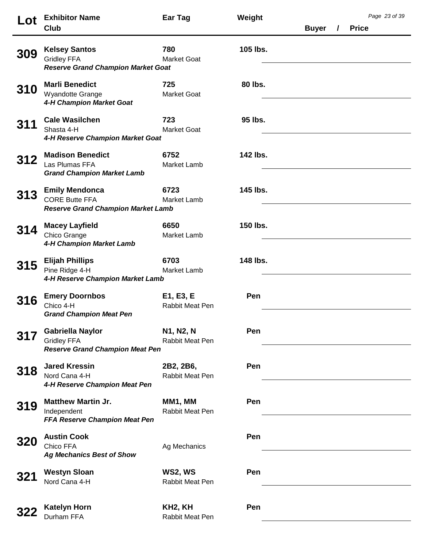| ∟ot        | <b>Exhibitor Name</b>                                                                       | <b>Ear Tag</b>                          | Weight   |              |          |              | Page 23 of 39 |
|------------|---------------------------------------------------------------------------------------------|-----------------------------------------|----------|--------------|----------|--------------|---------------|
|            | Club                                                                                        |                                         |          | <b>Buyer</b> | $\prime$ | <b>Price</b> |               |
| <b>309</b> | <b>Kelsey Santos</b><br><b>Gridley FFA</b><br><b>Reserve Grand Champion Market Goat</b>     | 780<br><b>Market Goat</b>               | 105 lbs. |              |          |              |               |
| 310        | <b>Marli Benedict</b><br>Wyandotte Grange<br>4-H Champion Market Goat                       | 725<br><b>Market Goat</b>               | 80 lbs.  |              |          |              |               |
| 311        | <b>Cale Wasilchen</b><br>Shasta 4-H<br>4-H Reserve Champion Market Goat                     | 723<br><b>Market Goat</b>               | 95 lbs.  |              |          |              |               |
| 312        | <b>Madison Benedict</b><br>Las Plumas FFA<br><b>Grand Champion Market Lamb</b>              | 6752<br><b>Market Lamb</b>              | 142 lbs. |              |          |              |               |
| 313        | <b>Emily Mendonca</b><br><b>CORE Butte FFA</b><br><b>Reserve Grand Champion Market Lamb</b> | 6723<br><b>Market Lamb</b>              | 145 lbs. |              |          |              |               |
| 314        | <b>Macey Layfield</b><br>Chico Grange<br>4-H Champion Market Lamb                           | 6650<br>Market Lamb                     | 150 lbs. |              |          |              |               |
| 315        | <b>Elijah Phillips</b><br>Pine Ridge 4-H<br>4-H Reserve Champion Market Lamb                | 6703<br>Market Lamb                     | 148 lbs. |              |          |              |               |
| 316        | <b>Emery Doornbos</b><br>Chico 4-H<br><b>Grand Champion Meat Pen</b>                        | E1, E3, E<br>Rabbit Meat Pen            | Pen      |              |          |              |               |
|            | <b>Gabriella Naylor</b><br><b>Gridley FFA</b><br><b>Reserve Grand Champion Meat Pen</b>     | N1, N2, N<br>Rabbit Meat Pen            | Pen      |              |          |              |               |
| 318        | <b>Jared Kressin</b><br>Nord Cana 4-H<br>4-H Reserve Champion Meat Pen                      | 2B2, 2B6,<br>Rabbit Meat Pen            | Pen      |              |          |              |               |
| 319        | <b>Matthew Martin Jr.</b><br>Independent<br>FFA Reserve Champion Meat Pen                   | MM1, MM<br><b>Rabbit Meat Pen</b>       | Pen      |              |          |              |               |
| 320        | <b>Austin Cook</b><br>Chico FFA<br><b>Ag Mechanics Best of Show</b>                         | Ag Mechanics                            | Pen      |              |          |              |               |
| <b>321</b> | <b>Westyn Sloan</b><br>Nord Cana 4-H                                                        | WS2, WS<br><b>Rabbit Meat Pen</b>       | Pen      |              |          |              |               |
|            | <b>Katelyn Horn</b><br>Durham FFA                                                           | KH <sub>2</sub> , KH<br>Rabbit Meat Pen | Pen      |              |          |              |               |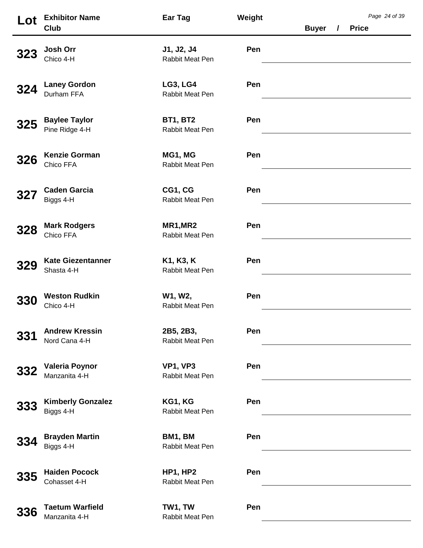| Lot        | <b>Exhibitor Name</b><br>Club           | Ear Tag                            | Weight | <b>Buyer</b> | $\prime$ | <b>Price</b> | Page 24 of 39 |
|------------|-----------------------------------------|------------------------------------|--------|--------------|----------|--------------|---------------|
| 323        | Josh Orr<br>Chico 4-H                   | J1, J2, J4<br>Rabbit Meat Pen      | Pen    |              |          |              |               |
| 324        | <b>Laney Gordon</b><br>Durham FFA       | <b>LG3, LG4</b><br>Rabbit Meat Pen | Pen    |              |          |              |               |
| 325        | <b>Baylee Taylor</b><br>Pine Ridge 4-H  | <b>BT1, BT2</b><br>Rabbit Meat Pen | Pen    |              |          |              |               |
| 326        | <b>Kenzie Gorman</b><br>Chico FFA       | MG1, MG<br>Rabbit Meat Pen         | Pen    |              |          |              |               |
| 327        | <b>Caden Garcia</b><br>Biggs 4-H        | CG1, CG<br>Rabbit Meat Pen         | Pen    |              |          |              |               |
| 328        | <b>Mark Rodgers</b><br>Chico FFA        | MR1, MR2<br>Rabbit Meat Pen        | Pen    |              |          |              |               |
| 329        | <b>Kate Giezentanner</b><br>Shasta 4-H  | K1, K3, K<br>Rabbit Meat Pen       | Pen    |              |          |              |               |
| <b>330</b> | <b>Weston Rudkin</b><br>Chico 4-H       | W1, W2,<br>Rabbit Meat Pen         | Pen    |              |          |              |               |
| 331        | <b>Andrew Kressin</b><br>Nord Cana 4-H  | 2B5, 2B3,<br>Rabbit Meat Pen       | Pen    |              |          |              |               |
| 332        | <b>Valeria Poynor</b><br>Manzanita 4-H  | <b>VP1, VP3</b><br>Rabbit Meat Pen | Pen    |              |          |              |               |
| 333        | <b>Kimberly Gonzalez</b><br>Biggs 4-H   | KG1, KG<br>Rabbit Meat Pen         | Pen    |              |          |              |               |
| <b>334</b> | <b>Brayden Martin</b><br>Biggs 4-H      | BM1, BM<br>Rabbit Meat Pen         | Pen    |              |          |              |               |
| 335        | <b>Haiden Pocock</b><br>Cohasset 4-H    | <b>HP1, HP2</b><br>Rabbit Meat Pen | Pen    |              |          |              |               |
| 336        | <b>Taetum Warfield</b><br>Manzanita 4-H | TW1, TW<br>Rabbit Meat Pen         | Pen    |              |          |              |               |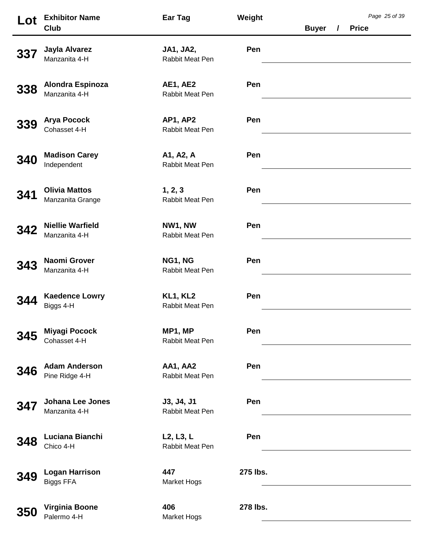| Lot | <b>Exhibitor Name</b>                     | Ear Tag                             | Weight   |              |          |              | Page 25 of 39 |
|-----|-------------------------------------------|-------------------------------------|----------|--------------|----------|--------------|---------------|
|     | Club                                      |                                     |          | <b>Buyer</b> | $\prime$ | <b>Price</b> |               |
| 337 | Jayla Alvarez<br>Manzanita 4-H            | <b>JA1, JA2,</b><br>Rabbit Meat Pen | Pen      |              |          |              |               |
| 338 | <b>Alondra Espinoza</b><br>Manzanita 4-H  | AE1, AE2<br>Rabbit Meat Pen         | Pen      |              |          |              |               |
| 339 | <b>Arya Pocock</b><br>Cohasset 4-H        | AP1, AP2<br>Rabbit Meat Pen         | Pen      |              |          |              |               |
| 340 | <b>Madison Carey</b><br>Independent       | A1, A2, A<br>Rabbit Meat Pen        | Pen      |              |          |              |               |
| 341 | <b>Olivia Mattos</b><br>Manzanita Grange  | 1, 2, 3<br>Rabbit Meat Pen          | Pen      |              |          |              |               |
| 342 | <b>Niellie Warfield</b><br>Manzanita 4-H  | NW1, NW<br>Rabbit Meat Pen          | Pen      |              |          |              |               |
| 343 | <b>Naomi Grover</b><br>Manzanita 4-H      | NG1, NG<br>Rabbit Meat Pen          | Pen      |              |          |              |               |
| 344 | <b>Kaedence Lowry</b><br>Biggs 4-H        | KL1, KL2<br>Rabbit Meat Pen         | Pen      |              |          |              |               |
| 345 | <b>Miyagi Pocock</b><br>Cohasset 4-H      | MP1, MP<br>Rabbit Meat Pen          | Pen      |              |          |              |               |
| 346 | <b>Adam Anderson</b><br>Pine Ridge 4-H    | AA1, AA2<br>Rabbit Meat Pen         | Pen      |              |          |              |               |
| 347 | <b>Johana Lee Jones</b><br>Manzanita 4-H  | J3, J4, J1<br>Rabbit Meat Pen       | Pen      |              |          |              |               |
| 348 | Luciana Bianchi<br>Chico 4-H              | L2, L3, L<br>Rabbit Meat Pen        | Pen      |              |          |              |               |
| 349 | <b>Logan Harrison</b><br><b>Biggs FFA</b> | 447<br><b>Market Hogs</b>           | 275 lbs. |              |          |              |               |
| 350 | Virginia Boone<br>Palermo 4-H             | 406<br><b>Market Hogs</b>           | 278 lbs. |              |          |              |               |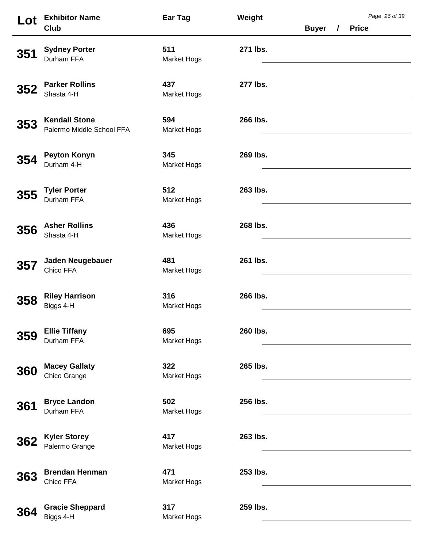| Lot | <b>Exhibitor Name</b><br>Club                     | Ear Tag                   | Weight   | <b>Buyer</b> | $\prime$ | <b>Price</b> | Page 26 of 39 |
|-----|---------------------------------------------------|---------------------------|----------|--------------|----------|--------------|---------------|
| 351 | <b>Sydney Porter</b><br>Durham FFA                | 511<br><b>Market Hogs</b> | 271 lbs. |              |          |              |               |
| 352 | <b>Parker Rollins</b><br>Shasta 4-H               | 437<br><b>Market Hogs</b> | 277 lbs. |              |          |              |               |
| 353 | <b>Kendall Stone</b><br>Palermo Middle School FFA | 594<br><b>Market Hogs</b> | 266 lbs. |              |          |              |               |
| 354 | <b>Peyton Konyn</b><br>Durham 4-H                 | 345<br><b>Market Hogs</b> | 269 lbs. |              |          |              |               |
| 355 | <b>Tyler Porter</b><br>Durham FFA                 | 512<br><b>Market Hogs</b> | 263 lbs. |              |          |              |               |
| 356 | <b>Asher Rollins</b><br>Shasta 4-H                | 436<br><b>Market Hogs</b> | 268 lbs. |              |          |              |               |
| 357 | Jaden Neugebauer<br>Chico FFA                     | 481<br><b>Market Hogs</b> | 261 lbs. |              |          |              |               |
| 358 | <b>Riley Harrison</b><br>Biggs 4-H                | 316<br><b>Market Hogs</b> | 266 lbs. |              |          |              |               |
| 359 | <b>Ellie Tiffany</b><br>Durham FFA                | 695<br><b>Market Hogs</b> | 260 lbs. |              |          |              |               |
| 360 | <b>Macey Gallaty</b><br>Chico Grange              | 322<br><b>Market Hogs</b> | 265 lbs. |              |          |              |               |
| 361 | <b>Bryce Landon</b><br>Durham FFA                 | 502<br><b>Market Hogs</b> | 256 lbs. |              |          |              |               |
| 362 | <b>Kyler Storey</b><br>Palermo Grange             | 417<br><b>Market Hogs</b> | 263 lbs. |              |          |              |               |
| 363 | <b>Brendan Henman</b><br>Chico FFA                | 471<br><b>Market Hogs</b> | 253 lbs. |              |          |              |               |
| 364 | <b>Gracie Sheppard</b><br>Biggs 4-H               | 317<br><b>Market Hogs</b> | 259 lbs. |              |          |              |               |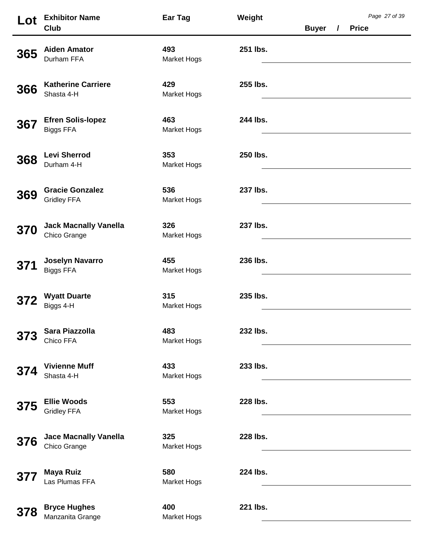| Lot             | <b>Exhibitor Name</b><br>Club                | Ear Tag                   | Weight   | <b>Buyer</b> |          | <b>Price</b> | Page 27 of 39 |
|-----------------|----------------------------------------------|---------------------------|----------|--------------|----------|--------------|---------------|
| 365             | <b>Aiden Amator</b>                          | 493                       | 251 lbs. |              | $\prime$ |              |               |
|                 | Durham FFA                                   | <b>Market Hogs</b>        |          |              |          |              |               |
| 366             | <b>Katherine Carriere</b><br>Shasta 4-H      | 429<br><b>Market Hogs</b> | 255 lbs. |              |          |              |               |
| 367             | <b>Efren Solis-lopez</b><br><b>Biggs FFA</b> | 463<br><b>Market Hogs</b> | 244 lbs. |              |          |              |               |
| 368             | <b>Levi Sherrod</b><br>Durham 4-H            | 353<br><b>Market Hogs</b> | 250 lbs. |              |          |              |               |
| 369             | <b>Gracie Gonzalez</b><br><b>Gridley FFA</b> | 536<br><b>Market Hogs</b> | 237 lbs. |              |          |              |               |
| 370             | <b>Jack Macnally Vanella</b><br>Chico Grange | 326<br><b>Market Hogs</b> | 237 lbs. |              |          |              |               |
| <b>371</b>      | Joselyn Navarro<br><b>Biggs FFA</b>          | 455<br><b>Market Hogs</b> | 236 lbs. |              |          |              |               |
|                 | <b>Wyatt Duarte</b><br>Biggs 4-H             | 315<br><b>Market Hogs</b> | 235 lbs. |              |          |              |               |
| 37              | Sara Piazzolla<br>Chico FFA                  | 483<br><b>Market Hogs</b> | 232 lbs. |              |          |              |               |
| 374             | <b>Vivienne Muff</b><br>Shasta 4-H           | 433<br><b>Market Hogs</b> | 233 lbs. |              |          |              |               |
| 375             | <b>Ellie Woods</b><br><b>Gridley FFA</b>     | 553<br><b>Market Hogs</b> | 228 lbs. |              |          |              |               |
| 376             | <b>Jace Macnally Vanella</b><br>Chico Grange | 325<br><b>Market Hogs</b> | 228 lbs. |              |          |              |               |
| 37 <sub>1</sub> | <b>Maya Ruiz</b><br>Las Plumas FFA           | 580<br><b>Market Hogs</b> | 224 lbs. |              |          |              |               |
| 378             | <b>Bryce Hughes</b><br>Manzanita Grange      | 400<br><b>Market Hogs</b> | 221 lbs. |              |          |              |               |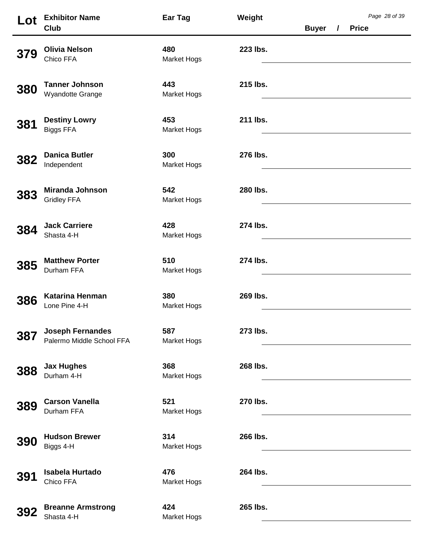| Lot | <b>Exhibitor Name</b><br>Club                        | Ear Tag                   | Weight   | <b>Buyer</b> | $\prime$ | <b>Price</b> | Page 28 of 39 |
|-----|------------------------------------------------------|---------------------------|----------|--------------|----------|--------------|---------------|
| 379 | <b>Olivia Nelson</b><br>Chico FFA                    | 480<br><b>Market Hogs</b> | 223 lbs. |              |          |              |               |
| 380 | <b>Tanner Johnson</b><br>Wyandotte Grange            | 443<br><b>Market Hogs</b> | 215 lbs. |              |          |              |               |
| 381 | <b>Destiny Lowry</b><br><b>Biggs FFA</b>             | 453<br><b>Market Hogs</b> | 211 lbs. |              |          |              |               |
| 382 | <b>Danica Butler</b><br>Independent                  | 300<br><b>Market Hogs</b> | 276 lbs. |              |          |              |               |
| 383 | <b>Miranda Johnson</b><br><b>Gridley FFA</b>         | 542<br><b>Market Hogs</b> | 280 lbs. |              |          |              |               |
| 384 | <b>Jack Carriere</b><br>Shasta 4-H                   | 428<br><b>Market Hogs</b> | 274 lbs. |              |          |              |               |
| 385 | <b>Matthew Porter</b><br>Durham FFA                  | 510<br><b>Market Hogs</b> | 274 lbs. |              |          |              |               |
| 386 | <b>Katarina Henman</b><br>Lone Pine 4-H              | 380<br><b>Market Hogs</b> | 269 lbs. |              |          |              |               |
| 387 | <b>Joseph Fernandes</b><br>Palermo Middle School FFA | 587<br><b>Market Hogs</b> | 273 lbs. |              |          |              |               |
| 388 | <b>Jax Hughes</b><br>Durham 4-H                      | 368<br><b>Market Hogs</b> | 268 lbs. |              |          |              |               |
| 389 | <b>Carson Vanella</b><br>Durham FFA                  | 521<br><b>Market Hogs</b> | 270 lbs. |              |          |              |               |
| 390 | <b>Hudson Brewer</b><br>Biggs 4-H                    | 314<br><b>Market Hogs</b> | 266 lbs. |              |          |              |               |
| 391 | <b>Isabela Hurtado</b><br>Chico FFA                  | 476<br><b>Market Hogs</b> | 264 lbs. |              |          |              |               |
| 392 | <b>Breanne Armstrong</b><br>Shasta 4-H               | 424<br><b>Market Hogs</b> | 265 lbs. |              |          |              |               |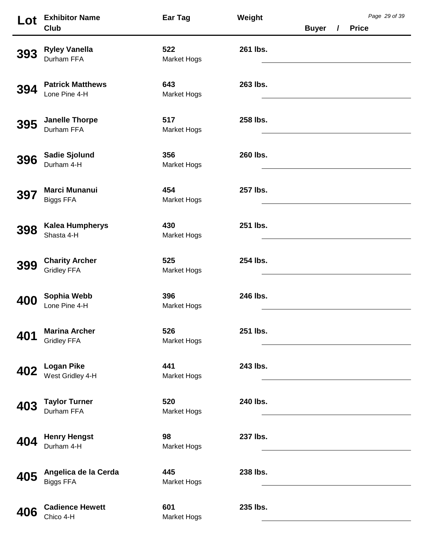| Lot        | <b>Exhibitor Name</b><br>Club               | Ear Tag                   | Weight   | <b>Buyer</b>                                                                                                           | $\prime$ | <b>Price</b> | Page 29 of 39 |
|------------|---------------------------------------------|---------------------------|----------|------------------------------------------------------------------------------------------------------------------------|----------|--------------|---------------|
| 393        | <b>Ryley Vanella</b><br>Durham FFA          | 522<br>Market Hogs        | 261 lbs. |                                                                                                                        |          |              |               |
| <b>394</b> | <b>Patrick Matthews</b><br>Lone Pine 4-H    | 643<br>Market Hogs        | 263 lbs. | <u> 1989 - Johann Stoff, deutscher Stoffen und der Stoffen und der Stoffen und der Stoffen und der Stoffen und der</u> |          |              |               |
| 395        | <b>Janelle Thorpe</b><br>Durham FFA         | 517<br><b>Market Hogs</b> | 258 lbs. |                                                                                                                        |          |              |               |
| 396        | <b>Sadie Sjolund</b><br>Durham 4-H          | 356<br><b>Market Hogs</b> | 260 lbs. |                                                                                                                        |          |              |               |
| 397        | <b>Marci Munanui</b><br><b>Biggs FFA</b>    | 454<br>Market Hogs        | 257 lbs. |                                                                                                                        |          |              |               |
| 398        | <b>Kalea Humpherys</b><br>Shasta 4-H        | 430<br><b>Market Hogs</b> | 251 lbs. | <u> 1989 - Johann Stoff, deutscher Stoffen und der Stoffen und der Stoffen und der Stoffen und der Stoffen und der</u> |          |              |               |
| 399        | <b>Charity Archer</b><br><b>Gridley FFA</b> | 525<br>Market Hogs        | 254 lbs. |                                                                                                                        |          |              |               |
| <b>400</b> | Sophia Webb<br>Lone Pine 4-H                | 396<br><b>Market Hogs</b> | 246 lbs. |                                                                                                                        |          |              |               |
| 401        | <b>Marina Archer</b><br><b>Gridley FFA</b>  | 526<br>Market Hogs        | 251 lbs. |                                                                                                                        |          |              |               |
| 402        | <b>Logan Pike</b><br>West Gridley 4-H       | 441<br>Market Hogs        | 243 lbs. |                                                                                                                        |          |              |               |
| 403        | <b>Taylor Turner</b><br>Durham FFA          | 520<br>Market Hogs        | 240 lbs. |                                                                                                                        |          |              |               |
| 404        | <b>Henry Hengst</b><br>Durham 4-H           | 98<br>Market Hogs         | 237 lbs. |                                                                                                                        |          |              |               |
| 405        | Angelica de la Cerda<br><b>Biggs FFA</b>    | 445<br>Market Hogs        | 238 lbs. |                                                                                                                        |          |              |               |
| 406        | <b>Cadience Hewett</b><br>Chico 4-H         | 601<br>Market Hogs        | 235 lbs. |                                                                                                                        |          |              |               |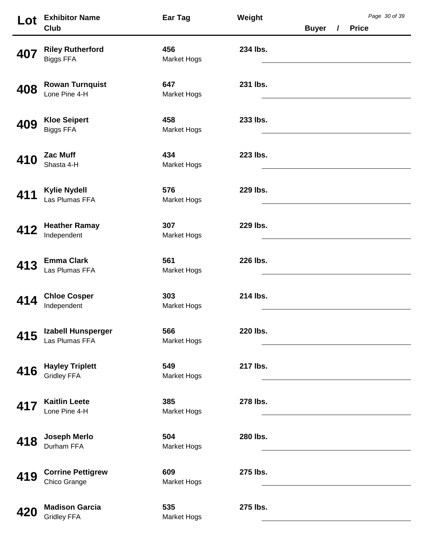| Lot        | <b>Exhibitor Name</b>                        | Ear Tag                   | Weight   |              |          |              | Page 30 of 39 |
|------------|----------------------------------------------|---------------------------|----------|--------------|----------|--------------|---------------|
|            | Club                                         |                           |          | <b>Buyer</b> | $\prime$ | <b>Price</b> |               |
| 407        | <b>Riley Rutherford</b><br><b>Biggs FFA</b>  | 456<br>Market Hogs        | 234 lbs. |              |          |              |               |
| 408        | <b>Rowan Turnquist</b><br>Lone Pine 4-H      | 647<br><b>Market Hogs</b> | 231 lbs. |              |          |              |               |
| 409        | <b>Kloe Seipert</b><br><b>Biggs FFA</b>      | 458<br><b>Market Hogs</b> | 233 lbs. |              |          |              |               |
| 410        | <b>Zac Muff</b><br>Shasta 4-H                | 434<br>Market Hogs        | 223 lbs. |              |          |              |               |
| 411        | <b>Kylie Nydell</b><br>Las Plumas FFA        | 576<br>Market Hogs        | 229 lbs. |              |          |              |               |
| 412        | <b>Heather Ramay</b><br>Independent          | 307<br><b>Market Hogs</b> | 229 lbs. |              |          |              |               |
| 413        | <b>Emma Clark</b><br>Las Plumas FFA          | 561<br><b>Market Hogs</b> | 226 lbs. |              |          |              |               |
|            | <b>Chloe Cosper</b><br>Independent           | 303<br>Market Hogs        | 214 lbs. |              |          |              |               |
|            | Izabell Hunsperger<br>Las Plumas FFA         | 566<br>Market Hogs        | 220 lbs. |              |          |              |               |
| 416        | <b>Hayley Triplett</b><br><b>Gridley FFA</b> | 549<br>Market Hogs        | 217 lbs. |              |          |              |               |
| 417        | <b>Kaitlin Leete</b><br>Lone Pine 4-H        | 385<br>Market Hogs        | 278 lbs. |              |          |              |               |
| 418        | <b>Joseph Merlo</b><br>Durham FFA            | 504<br>Market Hogs        | 280 lbs. |              |          |              |               |
| 419        | <b>Corrine Pettigrew</b><br>Chico Grange     | 609<br>Market Hogs        | 275 lbs. |              |          |              |               |
| <b>420</b> | <b>Madison Garcia</b><br><b>Gridley FFA</b>  | 535<br><b>Market Hogs</b> | 275 lbs. |              |          |              |               |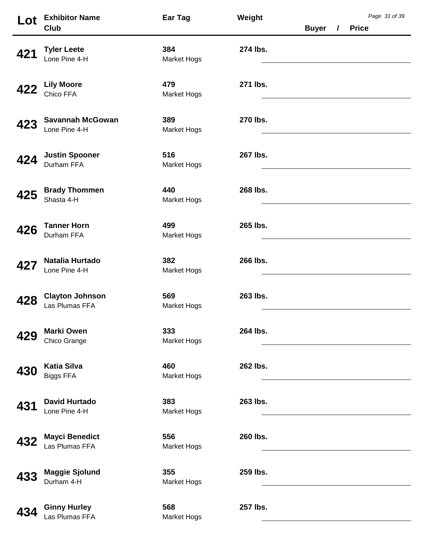| Lot        | <b>Exhibitor Name</b>                    | Ear Tag                   | Weight   |              |          |              | Page 31 of 39 |
|------------|------------------------------------------|---------------------------|----------|--------------|----------|--------------|---------------|
|            | Club                                     |                           |          | <b>Buyer</b> | $\prime$ | <b>Price</b> |               |
| 421        | <b>Tyler Leete</b><br>Lone Pine 4-H      | 384<br><b>Market Hogs</b> | 274 lbs. |              |          |              |               |
| 422        | <b>Lily Moore</b><br>Chico FFA           | 479<br><b>Market Hogs</b> | 271 lbs. |              |          |              |               |
| 423        | <b>Savannah McGowan</b><br>Lone Pine 4-H | 389<br><b>Market Hogs</b> | 270 lbs. |              |          |              |               |
| 424        | <b>Justin Spooner</b><br>Durham FFA      | 516<br><b>Market Hogs</b> | 267 lbs. |              |          |              |               |
| 425        | <b>Brady Thommen</b><br>Shasta 4-H       | 440<br><b>Market Hogs</b> | 268 lbs. |              |          |              |               |
| 426        | <b>Tanner Horn</b><br>Durham FFA         | 499<br><b>Market Hogs</b> | 265 lbs. |              |          |              |               |
| 427        | <b>Natalia Hurtado</b><br>Lone Pine 4-H  | 382<br><b>Market Hogs</b> | 266 lbs. |              |          |              |               |
| 428        | <b>Clayton Johnson</b><br>Las Plumas FFA | 569<br><b>Market Hogs</b> | 263 lbs. |              |          |              |               |
| 429        | <b>Marki Owen</b><br>Chico Grange        | 333<br><b>Market Hogs</b> | 264 lbs. |              |          |              |               |
| 430        | <b>Katia Silva</b><br><b>Biggs FFA</b>   | 460<br><b>Market Hogs</b> | 262 lbs. |              |          |              |               |
| 431        | <b>David Hurtado</b><br>Lone Pine 4-H    | 383<br><b>Market Hogs</b> | 263 lbs. |              |          |              |               |
| 432        | <b>Mayci Benedict</b><br>Las Plumas FFA  | 556<br><b>Market Hogs</b> | 260 lbs. |              |          |              |               |
| <b>433</b> | <b>Maggie Sjolund</b><br>Durham 4-H      | 355<br><b>Market Hogs</b> | 259 lbs. |              |          |              |               |
| 434        | <b>Ginny Hurley</b><br>Las Plumas FFA    | 568<br><b>Market Hogs</b> | 257 lbs. |              |          |              |               |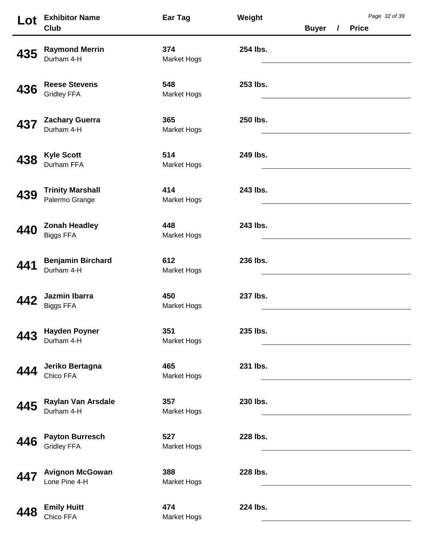| Lot | <b>Exhibitor Name</b>                        | Ear Tag                   | Weight   |              |          |              | Page 32 of 39 |
|-----|----------------------------------------------|---------------------------|----------|--------------|----------|--------------|---------------|
|     | Club                                         |                           |          | <b>Buyer</b> | $\prime$ | <b>Price</b> |               |
| 435 | <b>Raymond Merrin</b><br>Durham 4-H          | 374<br><b>Market Hogs</b> | 254 lbs. |              |          |              |               |
| 436 | <b>Reese Stevens</b><br><b>Gridley FFA</b>   | 548<br><b>Market Hogs</b> | 253 lbs. |              |          |              |               |
| 437 | <b>Zachary Guerra</b><br>Durham 4-H          | 365<br><b>Market Hogs</b> | 250 lbs. |              |          |              |               |
| 438 | <b>Kyle Scott</b><br>Durham FFA              | 514<br><b>Market Hogs</b> | 249 lbs. |              |          |              |               |
| 439 | <b>Trinity Marshall</b><br>Palermo Grange    | 414<br><b>Market Hogs</b> | 243 lbs. |              |          |              |               |
| 440 | <b>Zonah Headley</b><br><b>Biggs FFA</b>     | 448<br><b>Market Hogs</b> | 243 lbs. |              |          |              |               |
| 441 | <b>Benjamin Birchard</b><br>Durham 4-H       | 612<br><b>Market Hogs</b> | 236 lbs. |              |          |              |               |
| 442 | Jazmin Ibarra<br><b>Biggs FFA</b>            | 450<br><b>Market Hogs</b> | 237 lbs. |              |          |              |               |
| 443 | <b>Hayden Poyner</b><br>Durham 4-H           | 351<br><b>Market Hogs</b> | 235 lbs. |              |          |              |               |
| 444 | Jeriko Bertagna<br>Chico FFA                 | 465<br><b>Market Hogs</b> | 231 lbs. |              |          |              |               |
| 445 | Raylan Van Arsdale<br>Durham 4-H             | 357<br><b>Market Hogs</b> | 230 lbs. |              |          |              |               |
| 446 | <b>Payton Burresch</b><br><b>Gridley FFA</b> | 527<br><b>Market Hogs</b> | 228 lbs. |              |          |              |               |
| 447 | <b>Avignon McGowan</b><br>Lone Pine 4-H      | 388<br><b>Market Hogs</b> | 228 lbs. |              |          |              |               |
| 448 | <b>Emily Huitt</b><br>Chico FFA              | 474<br><b>Market Hogs</b> | 224 lbs. |              |          |              |               |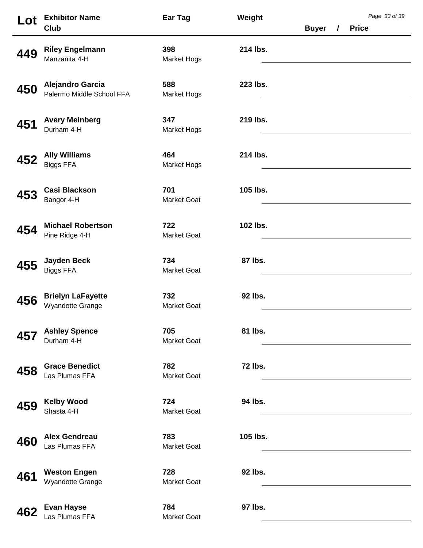| Lot | <b>Exhibitor Name</b><br><b>Club</b>                 | <b>Ear Tag</b>            | Weight         | <b>Buyer</b> | $\prime$ | <b>Price</b> | Page 33 of 39 |
|-----|------------------------------------------------------|---------------------------|----------------|--------------|----------|--------------|---------------|
| 449 | <b>Riley Engelmann</b><br>Manzanita 4-H              | 398<br><b>Market Hogs</b> | 214 lbs.       |              |          |              |               |
| 450 | <b>Alejandro Garcia</b><br>Palermo Middle School FFA | 588<br><b>Market Hogs</b> | 223 lbs.       |              |          |              |               |
| 451 | <b>Avery Meinberg</b><br>Durham 4-H                  | 347<br><b>Market Hogs</b> | 219 lbs.       |              |          |              |               |
| 452 | <b>Ally Williams</b><br><b>Biggs FFA</b>             | 464<br><b>Market Hogs</b> | 214 lbs.       |              |          |              |               |
| 453 | <b>Casi Blackson</b><br>Bangor 4-H                   | 701<br><b>Market Goat</b> | 105 lbs.       |              |          |              |               |
| 454 | <b>Michael Robertson</b><br>Pine Ridge 4-H           | 722<br><b>Market Goat</b> | 102 lbs.       |              |          |              |               |
| 455 | <b>Jayden Beck</b><br><b>Biggs FFA</b>               | 734<br><b>Market Goat</b> | 87 lbs.        |              |          |              |               |
| 456 | <b>Brielyn LaFayette</b><br>Wyandotte Grange         | 732<br><b>Market Goat</b> | 92 lbs.        |              |          |              |               |
| 457 | <b>Ashley Spence</b><br>Durham 4-H                   | 705<br><b>Market Goat</b> | 81 lbs.        |              |          |              |               |
| 458 | <b>Grace Benedict</b><br>Las Plumas FFA              | 782<br><b>Market Goat</b> | <b>72 lbs.</b> |              |          |              |               |
| 459 | <b>Kelby Wood</b><br>Shasta 4-H                      | 724<br><b>Market Goat</b> | 94 lbs.        |              |          |              |               |
| 460 | <b>Alex Gendreau</b><br>Las Plumas FFA               | 783<br><b>Market Goat</b> | 105 lbs.       |              |          |              |               |
| 461 | <b>Weston Engen</b><br>Wyandotte Grange              | 728<br><b>Market Goat</b> | 92 lbs.        |              |          |              |               |
| 462 | <b>Evan Hayse</b><br>Las Plumas FFA                  | 784<br><b>Market Goat</b> | 97 lbs.        |              |          |              |               |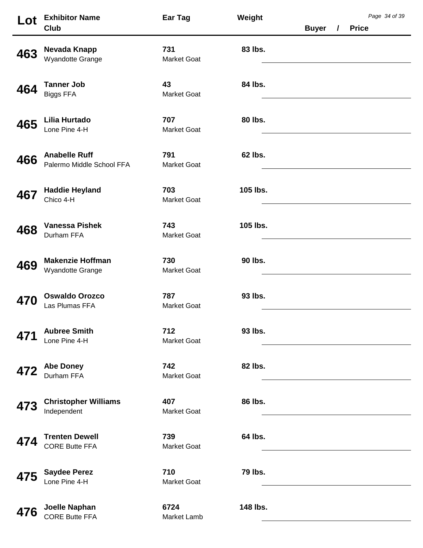| Lot | <b>Exhibitor Name</b><br>Club                     | Ear Tag                   | Weight   | <b>Buyer</b> | $\prime$ | <b>Price</b> | Page 34 of 39 |  |
|-----|---------------------------------------------------|---------------------------|----------|--------------|----------|--------------|---------------|--|
| 463 | Nevada Knapp<br>Wyandotte Grange                  | 731<br><b>Market Goat</b> | 83 lbs.  |              |          |              |               |  |
| 464 | <b>Tanner Job</b><br><b>Biggs FFA</b>             | 43<br><b>Market Goat</b>  | 84 lbs.  |              |          |              |               |  |
| 465 | Lilia Hurtado<br>Lone Pine 4-H                    | 707<br><b>Market Goat</b> | 80 lbs.  |              |          |              |               |  |
| 466 | <b>Anabelle Ruff</b><br>Palermo Middle School FFA | 791<br><b>Market Goat</b> | 62 lbs.  |              |          |              |               |  |
| 467 | <b>Haddie Heyland</b><br>Chico 4-H                | 703<br><b>Market Goat</b> | 105 lbs. |              |          |              |               |  |
| 468 | <b>Vanessa Pishek</b><br>Durham FFA               | 743<br><b>Market Goat</b> | 105 lbs. |              |          |              |               |  |
| 469 | <b>Makenzie Hoffman</b><br>Wyandotte Grange       | 730<br><b>Market Goat</b> | 90 lbs.  |              |          |              |               |  |
| 470 | <b>Oswaldo Orozco</b><br>Las Plumas FFA           | 787<br><b>Market Goat</b> | 93 lbs.  |              |          |              |               |  |
| 47  | <b>Aubree Smith</b><br>Lone Pine 4-H              | 712<br><b>Market Goat</b> | 93 lbs.  |              |          |              |               |  |
| 472 | <b>Abe Doney</b><br>Durham FFA                    | 742<br><b>Market Goat</b> | 82 lbs.  |              |          |              |               |  |
| 473 | <b>Christopher Williams</b><br>Independent        | 407<br><b>Market Goat</b> | 86 lbs.  |              |          |              |               |  |
| 474 | <b>Trenten Dewell</b><br><b>CORE Butte FFA</b>    | 739<br><b>Market Goat</b> | 64 lbs.  |              |          |              |               |  |
| 475 | <b>Saydee Perez</b><br>Lone Pine 4-H              | 710<br><b>Market Goat</b> | 79 lbs.  |              |          |              |               |  |
| 476 | Joelle Naphan<br><b>CORE Butte FFA</b>            | 6724<br>Market Lamb       | 148 lbs. |              |          |              |               |  |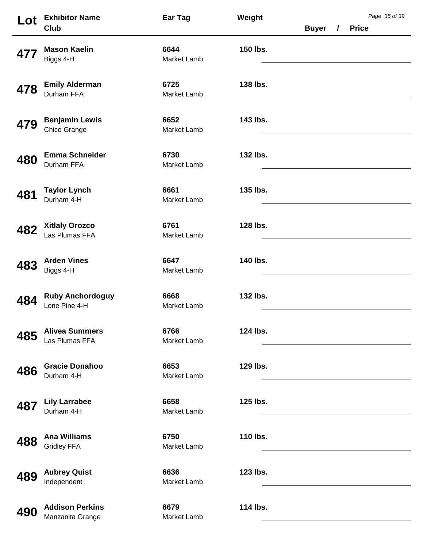| Lot | <b>Exhibitor Name</b>                      | Ear Tag                    | Weight   |              |          | Page 35 of 39 |
|-----|--------------------------------------------|----------------------------|----------|--------------|----------|---------------|
|     | Club                                       |                            |          | <b>Buyer</b> | $\prime$ | <b>Price</b>  |
| 477 | <b>Mason Kaelin</b><br>Biggs 4-H           | 6644<br>Market Lamb        | 150 lbs. |              |          |               |
| 478 | <b>Emily Alderman</b><br>Durham FFA        | 6725<br>Market Lamb        | 138 lbs. |              |          |               |
| 479 | <b>Benjamin Lewis</b><br>Chico Grange      | 6652<br>Market Lamb        | 143 lbs. |              |          |               |
| 480 | <b>Emma Schneider</b><br>Durham FFA        | 6730<br><b>Market Lamb</b> | 132 lbs. |              |          |               |
| 481 | <b>Taylor Lynch</b><br>Durham 4-H          | 6661<br>Market Lamb        | 135 lbs. |              |          |               |
| 482 | <b>Xitlaly Orozco</b><br>Las Plumas FFA    | 6761<br>Market Lamb        | 128 lbs. |              |          |               |
| 483 | <b>Arden Vines</b><br>Biggs 4-H            | 6647<br>Market Lamb        | 140 lbs. |              |          |               |
| 484 | <b>Ruby Anchordoguy</b><br>Lone Pine 4-H   | 6668<br><b>Market Lamb</b> | 132 lbs. |              |          |               |
| 485 | <b>Alivea Summers</b><br>Las Plumas FFA    | 6766<br><b>Market Lamb</b> | 124 lbs. |              |          |               |
| 486 | <b>Gracie Donahoo</b><br>Durham 4-H        | 6653<br><b>Market Lamb</b> | 129 lbs. |              |          |               |
| 487 | <b>Lily Larrabee</b><br>Durham 4-H         | 6658<br>Market Lamb        | 125 lbs. |              |          |               |
| 488 | <b>Ana Williams</b><br><b>Gridley FFA</b>  | 6750<br>Market Lamb        | 110 lbs. |              |          |               |
| 489 | <b>Aubrey Quist</b><br>Independent         | 6636<br>Market Lamb        | 123 lbs. |              |          |               |
| 490 | <b>Addison Perkins</b><br>Manzanita Grange | 6679<br>Market Lamb        | 114 lbs. |              |          |               |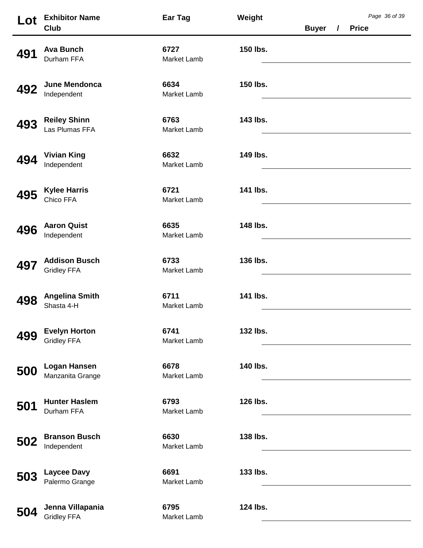| Lot | <b>Exhibitor Name</b><br><b>Club</b>       | Ear Tag                    | Weight   | <b>Buyer</b> | $\prime$ | <b>Price</b> | Page 36 of 39 |
|-----|--------------------------------------------|----------------------------|----------|--------------|----------|--------------|---------------|
| 491 | <b>Ava Bunch</b><br>Durham FFA             | 6727<br>Market Lamb        | 150 lbs. |              |          |              |               |
| 492 | June Mendonca<br>Independent               | 6634<br>Market Lamb        | 150 lbs. |              |          |              |               |
| 493 | <b>Reiley Shinn</b><br>Las Plumas FFA      | 6763<br>Market Lamb        | 143 lbs. |              |          |              |               |
| 494 | <b>Vivian King</b><br>Independent          | 6632<br>Market Lamb        | 149 lbs. |              |          |              |               |
| 495 | <b>Kylee Harris</b><br>Chico FFA           | 6721<br>Market Lamb        | 141 lbs. |              |          |              |               |
| 496 | <b>Aaron Quist</b><br>Independent          | 6635<br>Market Lamb        | 148 lbs. |              |          |              |               |
| 497 | <b>Addison Busch</b><br><b>Gridley FFA</b> | 6733<br>Market Lamb        | 136 lbs. |              |          |              |               |
| 498 | <b>Angelina Smith</b><br>Shasta 4-H        | 6711<br>Market Lamb        | 141 lbs. |              |          |              |               |
| 499 | <b>Evelyn Horton</b><br><b>Gridley FFA</b> | 6741<br><b>Market Lamb</b> | 132 lbs. |              |          |              |               |
| 500 | <b>Logan Hansen</b><br>Manzanita Grange    | 6678<br><b>Market Lamb</b> | 140 lbs. |              |          |              |               |
| 501 | <b>Hunter Haslem</b><br>Durham FFA         | 6793<br>Market Lamb        | 126 lbs. |              |          |              |               |
| 502 | <b>Branson Busch</b><br>Independent        | 6630<br>Market Lamb        | 138 lbs. |              |          |              |               |
| 503 | <b>Laycee Davy</b><br>Palermo Grange       | 6691<br>Market Lamb        | 133 lbs. |              |          |              |               |
| 504 | Jenna Villapania<br><b>Gridley FFA</b>     | 6795<br>Market Lamb        | 124 lbs. |              |          |              |               |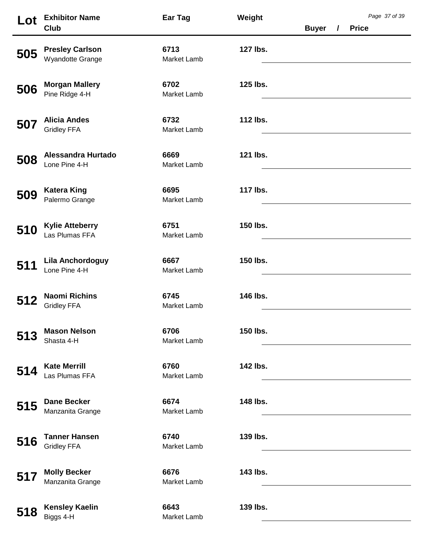| Lot     | <b>Exhibitor Name</b>                      | Ear Tag                    | Weight   |              |          | Page 37 of 39 |  |
|---------|--------------------------------------------|----------------------------|----------|--------------|----------|---------------|--|
|         | Club                                       |                            |          | <b>Buyer</b> | $\prime$ | <b>Price</b>  |  |
| 505     | <b>Presley Carlson</b><br>Wyandotte Grange | 6713<br>Market Lamb        | 127 lbs. |              |          |               |  |
| 506     | <b>Morgan Mallery</b><br>Pine Ridge 4-H    | 6702<br>Market Lamb        | 125 lbs. |              |          |               |  |
| 507     | <b>Alicia Andes</b><br><b>Gridley FFA</b>  | 6732<br>Market Lamb        | 112 lbs. |              |          |               |  |
| 508     | Alessandra Hurtado<br>Lone Pine 4-H        | 6669<br><b>Market Lamb</b> | 121 lbs. |              |          |               |  |
| 509     | <b>Katera King</b><br>Palermo Grange       | 6695<br>Market Lamb        | 117 lbs. |              |          |               |  |
| 510     | <b>Kylie Atteberry</b><br>Las Plumas FFA   | 6751<br>Market Lamb        | 150 lbs. |              |          |               |  |
| 511     | Lila Anchordoguy<br>Lone Pine 4-H          | 6667<br>Market Lamb        | 150 lbs. |              |          |               |  |
| 51<br>2 | <b>Naomi Richins</b><br><b>Gridley FFA</b> | 6745<br>Market Lamb        | 146 lbs. |              |          |               |  |
| 513     | <b>Mason Nelson</b><br>Shasta 4-H          | 6706<br><b>Market Lamb</b> | 150 lbs. |              |          |               |  |
| 514     | <b>Kate Merrill</b><br>Las Plumas FFA      | 6760<br><b>Market Lamb</b> | 142 lbs. |              |          |               |  |
| 515     | <b>Dane Becker</b><br>Manzanita Grange     | 6674<br>Market Lamb        | 148 lbs. |              |          |               |  |
| 516     | <b>Tanner Hansen</b><br><b>Gridley FFA</b> | 6740<br>Market Lamb        | 139 lbs. |              |          |               |  |
| 517     | <b>Molly Becker</b><br>Manzanita Grange    | 6676<br>Market Lamb        | 143 lbs. |              |          |               |  |
| 518     | <b>Kensley Kaelin</b><br>Biggs 4-H         | 6643<br>Market Lamb        | 139 lbs. |              |          |               |  |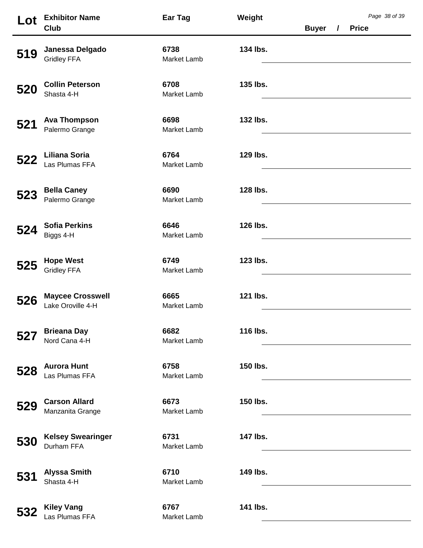| Lot | <b>Exhibitor Name</b><br>Club                | Ear Tag             | Weight   | <b>Buyer</b> | $\prime$ | <b>Price</b> | Page 38 of 39 |
|-----|----------------------------------------------|---------------------|----------|--------------|----------|--------------|---------------|
| 519 | Janessa Delgado<br><b>Gridley FFA</b>        | 6738<br>Market Lamb | 134 lbs. |              |          |              |               |
| 520 | <b>Collin Peterson</b><br>Shasta 4-H         | 6708<br>Market Lamb | 135 lbs. |              |          |              |               |
| 521 | <b>Ava Thompson</b><br>Palermo Grange        | 6698<br>Market Lamb | 132 lbs. |              |          |              |               |
| 522 | Liliana Soria<br>Las Plumas FFA              | 6764<br>Market Lamb | 129 lbs. |              |          |              |               |
| 523 | <b>Bella Caney</b><br>Palermo Grange         | 6690<br>Market Lamb | 128 lbs. |              |          |              |               |
| 524 | <b>Sofia Perkins</b><br>Biggs 4-H            | 6646<br>Market Lamb | 126 lbs. |              |          |              |               |
| 525 | <b>Hope West</b><br><b>Gridley FFA</b>       | 6749<br>Market Lamb | 123 lbs. |              |          |              |               |
| 526 | <b>Maycee Crosswell</b><br>Lake Oroville 4-H | 6665<br>Market Lamb | 121 lbs. |              |          |              |               |
| 527 | <b>Brieana Day</b><br>Nord Cana 4-H          | 6682<br>Market Lamb | 116 lbs. |              |          |              |               |
| 528 | <b>Aurora Hunt</b><br>Las Plumas FFA         | 6758<br>Market Lamb | 150 lbs. |              |          |              |               |
| 529 | <b>Carson Allard</b><br>Manzanita Grange     | 6673<br>Market Lamb | 150 lbs. |              |          |              |               |
| 530 | <b>Kelsey Swearinger</b><br>Durham FFA       | 6731<br>Market Lamb | 147 lbs. |              |          |              |               |
| 531 | <b>Alyssa Smith</b><br>Shasta 4-H            | 6710<br>Market Lamb | 149 lbs. |              |          |              |               |
| 532 | <b>Kiley Vang</b><br>Las Plumas FFA          | 6767<br>Market Lamb | 141 lbs. |              |          |              |               |